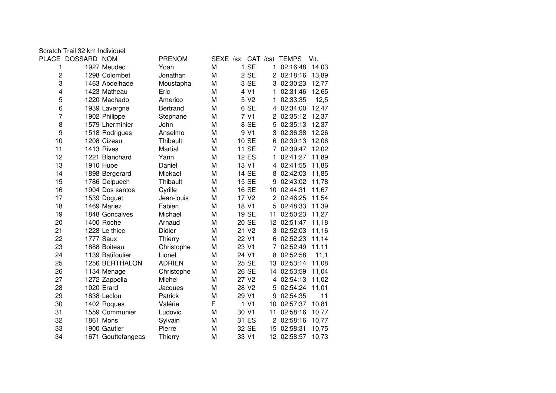|                         | Scratch Trail 32 km Individuel |                    |               |   |       |                   |    |                         |       |
|-------------------------|--------------------------------|--------------------|---------------|---|-------|-------------------|----|-------------------------|-------|
|                         | PLACE DOSSARD NOM              |                    | <b>PRENOM</b> |   |       |                   |    | SEXE /sx CAT /cat TEMPS | Vit.  |
| 1                       |                                | 1927 Meudec        | Yoan          | M |       | 1 SE              |    | 1 02:16:48              | 14,03 |
| $\overline{c}$          |                                | 1298 Colombet      | Jonathan      | M |       | 2 SE              |    | 2 02:18:16              | 13,89 |
| 3                       |                                | 1463 Abdelhade     | Moustapha     | M |       | 3 SE              |    | 3 02:30:23              | 12,77 |
| $\overline{\mathbf{4}}$ |                                | 1423 Matheau       | Eric          | M |       | 4 V1              | 1. | 02:31:46                | 12,65 |
| 5                       |                                | 1220 Machado       | Americo       | M |       | 5 V <sub>2</sub>  | 1  | 02:33:35                | 12,5  |
| 6                       |                                | 1939 Lavergne      | Bertrand      | M |       | 6 SE              |    | 4 02:34:00              | 12,47 |
| $\overline{7}$          |                                | 1902 Philippe      | Stephane      | M |       | 7 V1              |    | 2 02:35:12              | 12,37 |
| 8                       |                                | 1579 Lherminier    | John          | M |       | 8 SE              | 5  | 02:35:13                | 12,37 |
| 9                       |                                | 1518 Rodrigues     | Anselmo       | M |       | 9 V1              | 3  | 02:36:38                | 12,26 |
| 10                      |                                | 1208 Cizeau        | Thibault      | M |       | 10 SE             | 6  | 02:39:13                | 12,06 |
| 11                      |                                | 1413 Rives         | Martial       | M |       | 11 SE             | 7  | 02:39:47                | 12,02 |
| 12                      |                                | 1221 Blanchard     | Yann          | M |       | 12 ES             | 1  | 02:41:27                | 11,89 |
| 13                      |                                | 1910 Hube          | Daniel        | M |       | 13 V1             | 4  | 02:41:55                | 11,86 |
| 14                      |                                | 1898 Bergerard     | Mickael       | M |       | 14 SE             | 8  | 02:42:03                | 11,85 |
| 15                      |                                | 1786 Delpuech      | Thibault      | M |       | 15 SE             | 9  | 02:43:02                | 11,78 |
| 16                      |                                | 1904 Dos santos    | Cyrille       | M |       | 16 SE             | 10 | 02:44:31                | 11,67 |
| 17                      |                                | 1539 Doguet        | Jean-louis    | M |       | 17 V <sub>2</sub> | 2  | 02:46:25                | 11,54 |
| 18                      |                                | 1469 Mariez        | Fabien        | M |       | 18 V1             | 5  | 02:48:33                | 11,39 |
| 19                      |                                | 1848 Goncalves     | Michael       | M |       | 19 SE             | 11 | 02:50:23                | 11,27 |
| 20                      |                                | 1400 Roche         | Arnaud        | M |       | 20 SE             |    | 12 02:51:47             | 11,18 |
| 21                      |                                | 1228 Le thiec      | Didier        | M |       | 21 V <sub>2</sub> |    | 3 02:52:03              | 11,16 |
| 22                      |                                | <b>1777 Saux</b>   | Thierry       | M | 22 V1 |                   | 6  | 02:52:23                | 11,14 |
| 23                      |                                | 1888 Boiteau       | Christophe    | M | 23 V1 |                   |    | 7 02:52:49              | 11,11 |
| 24                      |                                | 1139 Batifoulier   | Lionel        | M | 24 V1 |                   | 8  | 02:52:58                | 11,1  |
| 25                      |                                | 1256 BERTHALON     | <b>ADRIEN</b> | M |       | 25 SE             | 13 | 02:53:14                | 11,08 |
| 26                      |                                | 1134 Menage        | Christophe    | M |       | 26 SE             | 14 | 02:53:59                | 11,04 |
| 27                      |                                | 1272 Zappella      | Michel        | M |       | 27 V <sub>2</sub> |    | 4 02:54:13              | 11,02 |
| 28                      |                                | 1020 Erard         | Jacques       | M |       | 28 V2             | 5  | 02:54:24                | 11,01 |
| 29                      |                                | 1838 Leclou        | Patrick       | M | 29 V1 |                   | 9  | 02:54:35                | 11    |
| 30                      |                                | 1402 Roques        | Valérie       | F |       | 1 V1              | 10 | 02:57:37                | 10,81 |
| 31                      |                                | 1559 Communier     | Ludovic       | M | 30 V1 |                   | 11 | 02:58:16                | 10,77 |
| 32                      |                                | 1861 Mons          | Sylvain       | M |       | 31 ES             |    | 2 02:58:16              | 10,77 |
| 33                      |                                | 1900 Gautier       | Pierre        | M |       | 32 SE             |    | 15 02:58:31             | 10,75 |
| 34                      |                                | 1671 Gouttefangeas | Thierry       | M | 33 V1 |                   |    | 12 02:58:57             | 10,73 |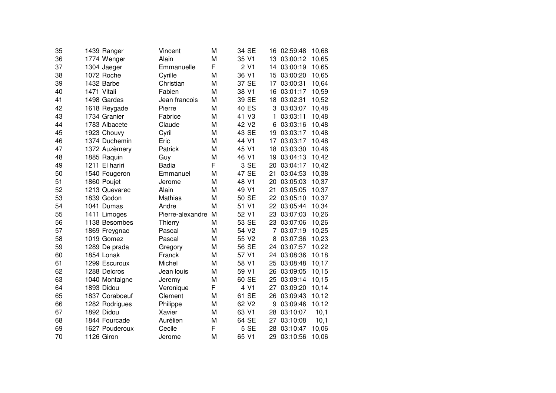| 35 |             | 1439 Ranger    | Vincent          | M | 34 SE             |      | 16 | 02:59:48    | 10,68 |
|----|-------------|----------------|------------------|---|-------------------|------|----|-------------|-------|
| 36 |             | 1774 Wenger    | Alain            | M | 35 V1             |      | 13 | 03:00:12    | 10,65 |
| 37 |             | 1304 Jaeger    | Emmanuelle       | F |                   | 2 V1 | 14 | 03:00:19    | 10,65 |
| 38 |             | 1072 Roche     | Cyrille          | M | 36 V1             |      | 15 | 03:00:20    | 10,65 |
| 39 |             | 1432 Barbe     | Christian        | M | 37 SE             |      | 17 | 03:00:31    | 10,64 |
| 40 | 1471 Vitali |                | Fabien           | M | 38 V1             |      | 16 | 03:01:17    | 10,59 |
| 41 |             | 1498 Gardes    | Jean francois    | М | 39 SE             |      | 18 | 03:02:31    | 10,52 |
| 42 |             | 1618 Reygade   | Pierre           | M | 40 ES             |      | 3  | 03:03:07    | 10,48 |
| 43 |             | 1734 Granier   | Fabrice          | M | 41 V3             |      | 1  | 03:03:11    | 10,48 |
| 44 |             | 1783 Albacete  | Claude           | M | 42 V <sub>2</sub> |      | 6  | 03:03:16    | 10,48 |
| 45 |             | 1923 Chouvy    | Cyril            | M | 43 SE             |      | 19 | 03:03:17    | 10,48 |
| 46 |             | 1374 Duchemin  | Eric             | M | 44 V1             |      | 17 | 03:03:17    | 10,48 |
| 47 |             | 1372 Auzèmery  | Patrick          | M | 45 V1             |      | 18 | 03:03:30    | 10,46 |
| 48 |             | 1885 Raquin    | Guy              | M | 46 V1             |      | 19 | 03:04:13    | 10,42 |
| 49 |             | 1211 El hariri | <b>Badia</b>     | F |                   | 3 SE | 20 | 03:04:17    | 10,42 |
| 50 |             | 1540 Fougeron  | Emmanuel         | M | 47 SE             |      | 21 | 03:04:53    | 10,38 |
| 51 |             | 1860 Poujet    | Jerome           | M | 48 V1             |      | 20 | 03:05:03    | 10,37 |
| 52 |             | 1213 Quevarec  | Alain            | M | 49 V1             |      | 21 | 03:05:05    | 10,37 |
| 53 |             | 1839 Godon     | <b>Mathias</b>   | M | 50 SE             |      | 22 | 03:05:10    | 10,37 |
| 54 |             | 1041 Dumas     | Andre            | M | 51 V1             |      | 22 | 03:05:44    | 10,34 |
| 55 |             | 1411 Limoges   | Pierre-alexandre | M | 52 V1             |      | 23 | 03:07:03    | 10,26 |
| 56 |             | 1138 Besombes  | Thierry          | M | 53 SE             |      | 23 | 03:07:06    | 10,26 |
| 57 |             | 1869 Freygnac  | Pascal           | M | 54 V2             |      | 7  | 03:07:19    | 10,25 |
| 58 |             | 1019 Gomez     | Pascal           | M | 55 V2             |      | 8  | 03:07:36    | 10,23 |
| 59 |             | 1289 De prada  | Gregory          | M | 56 SE             |      |    | 24 03:07:57 | 10,22 |
| 60 |             | 1854 Lonak     | Franck           | M | 57 V1             |      | 24 | 03:08:36    | 10,18 |
| 61 |             | 1299 Escuroux  | Michel           | М | 58 V1             |      | 25 | 03:08:48    | 10,17 |
| 62 |             | 1288 Delcros   | Jean louis       | M | 59 V1             |      | 26 | 03:09:05    | 10,15 |
| 63 |             | 1040 Montaigne | Jeremy           | M | 60 SE             |      | 25 | 03:09:14    | 10,15 |
| 64 |             | 1893 Didou     | Veronique        | F |                   | 4 V1 | 27 | 03:09:20    | 10,14 |
| 65 |             | 1837 Coraboeuf | Clement          | M | 61 SE             |      | 26 | 03:09:43    | 10,12 |
| 66 |             | 1282 Rodrigues | Philippe         | M | 62 V <sub>2</sub> |      | 9  | 03:09:46    | 10,12 |
| 67 |             | 1892 Didou     | Xavier           | М | 63 V1             |      | 28 | 03:10:07    | 10,1  |
| 68 |             | 1844 Fourcade  | Aurélien         | M | 64 SE             |      | 27 | 03:10:08    | 10,1  |
| 69 |             | 1627 Pouderoux | Cecile           | F |                   | 5 SE | 28 | 03:10:47    | 10,06 |
| 70 |             | 1126 Giron     | Jerome           | M | 65 V1             |      | 29 | 03:10:56    | 10,06 |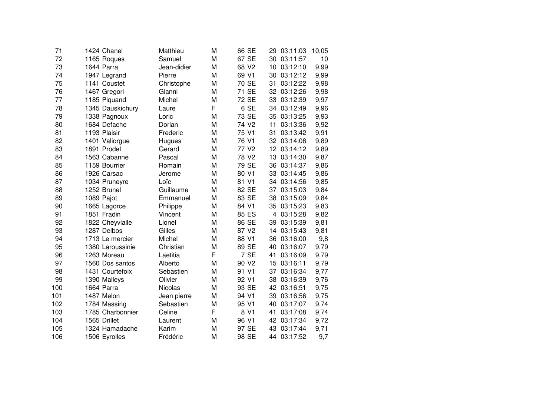| 71  | 1424 Chanel      | Matthieu    | M | 66 SE             | 29 | 03:11:03    | 10,05 |
|-----|------------------|-------------|---|-------------------|----|-------------|-------|
| 72  | 1165 Roques      | Samuel      | M | 67 SE             | 30 | 03:11:57    | 10    |
| 73  | 1644 Parra       | Jean-didier | M | 68 V2             | 10 | 03:12:10    | 9,99  |
| 74  | 1947 Legrand     | Pierre      | M | 69 V1             | 30 | 03:12:12    | 9,99  |
| 75  | 1141 Coustet     | Christophe  | M | 70 SE             | 31 | 03:12:22    | 9,98  |
| 76  | 1467 Gregori     | Gianni      | M | 71 SE             | 32 | 03:12:26    | 9,98  |
| 77  | 1185 Piquand     | Michel      | M | 72 SE             | 33 | 03:12:39    | 9,97  |
| 78  | 1345 Dauskichury | Laure       | F | 6 SE              |    | 34 03:12:49 | 9,96  |
| 79  | 1338 Pagnoux     | Loric       | M | 73 SE             | 35 | 03:13:25    | 9,93  |
| 80  | 1684 Defache     | Dorian      | M | 74 V <sub>2</sub> | 11 | 03:13:36    | 9,92  |
| 81  | 1193 Plaisir     | Frederic    | M | 75 V1             | 31 | 03:13:42    | 9,91  |
| 82  | 1401 Valiorgue   | Hugues      | M | 76 V1             |    | 32 03:14:08 | 9,89  |
| 83  | 1891 Prodel      | Gerard      | M | 77 V <sub>2</sub> |    | 12 03:14:12 | 9,89  |
| 84  | 1563 Cabanne     | Pascal      | M | 78 V2             | 13 | 03:14:30    | 9,87  |
| 85  | 1159 Bourrier    | Romain      | M | 79 SE             | 36 | 03:14:37    | 9,86  |
| 86  | 1926 Carsac      | Jerome      | M | 80 V1             | 33 | 03:14:45    | 9,86  |
| 87  | 1034 Pruneyre    | Loïc        | M | 81 V1             | 34 | 03:14:56    | 9,85  |
| 88  | 1252 Brunel      | Guillaume   | M | 82 SE             | 37 | 03:15:03    | 9,84  |
| 89  | 1089 Pajot       | Emmanuel    | M | 83 SE             | 38 | 03:15:09    | 9,84  |
| 90  | 1665 Lagorce     | Philippe    | M | 84 V1             | 35 | 03:15:23    | 9,83  |
| 91  | 1851 Fradin      | Vincent     | M | 85 ES             | 4  | 03:15:28    | 9,82  |
| 92  | 1822 Cheyvialle  | Lionel      | M | 86 SE             | 39 | 03:15:39    | 9,81  |
| 93  | 1287 Delbos      | Gilles      | M | 87 V2             | 14 | 03:15:43    | 9,81  |
| 94  | 1713 Le mercier  | Michel      | M | 88 V1             |    | 36 03:16:00 | 9,8   |
| 95  | 1380 Laroussinie | Christian   | M | 89 SE             |    | 40 03:16:07 | 9,79  |
| 96  | 1263 Moreau      | Laetitia    | F | 7 SE              | 41 | 03:16:09    | 9,79  |
| 97  | 1560 Dos santos  | Alberto     | M | 90 V <sub>2</sub> | 15 | 03:16:11    | 9,79  |
| 98  | 1431 Courtefoix  | Sebastien   | M | 91 V1             | 37 | 03:16:34    | 9,77  |
| 99  | 1390 Malleys     | Olivier     | M | 92 V1             | 38 | 03:16:39    | 9,76  |
| 100 | 1664 Parra       | Nicolas     | M | 93 SE             | 42 | 03:16:51    | 9,75  |
| 101 | 1487 Melon       | Jean pierre | M | 94 V1             | 39 | 03:16:56    | 9,75  |
| 102 | 1784 Massing     | Sebastien   | M | 95 V1             | 40 | 03:17:07    | 9,74  |
| 103 | 1785 Charbonnier | Celine      | F | 8 V1              | 41 | 03:17:08    | 9,74  |
| 104 | 1565 Drillet     | Laurent     | M | 96 V1             | 42 | 03:17:34    | 9,72  |
| 105 | 1324 Hamadache   | Karim       | M | 97 SE             | 43 | 03:17:44    | 9,71  |
| 106 | 1506 Eyrolles    | Frédéric    | M | 98 SE             | 44 | 03:17:52    | 9,7   |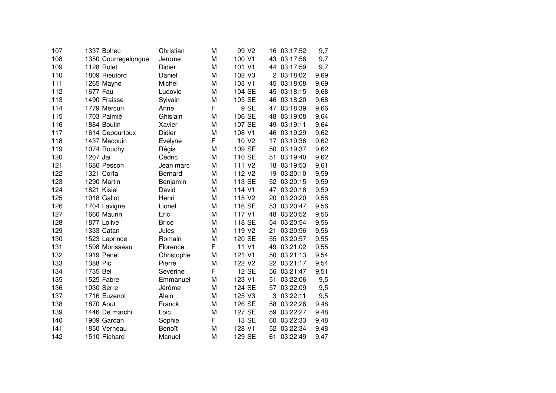| 107 |          | 1337 Bohec          | Christian      | M | 99 V <sub>2</sub>  | 16 | 03:17:52    | 9,7  |
|-----|----------|---------------------|----------------|---|--------------------|----|-------------|------|
| 108 |          | 1350 Courregelongue | Jerome         | M | 100 V1             | 43 | 03:17:56    | 9,7  |
| 109 |          | 1128 Rolet          | Didier         | M | 101 V1             | 44 | 03:17:59    | 9,7  |
| 110 |          | 1809 Rieutord       | Daniel         | M | 102 V3             | 2  | 03:18:02    | 9,69 |
| 111 |          | 1265 Mayne          | Michel         | M | 103 V1             | 45 | 03:18:08    | 9,69 |
| 112 | 1677 Fau |                     | Ludovic        | M | 104 SE             | 45 | 03:18:15    | 9,68 |
| 113 |          | 1490 Fraisse        | Sylvain        | M | 105 SE             | 46 | 03:18:20    | 9,68 |
| 114 |          | 1779 Mercuri        | Anne           | F | 9 SE               | 47 | 03:18:39    | 9,66 |
| 115 |          | 1703 Palmié         | Ghislain       | M | 106 SE             | 48 | 03:19:08    | 9,64 |
| 116 |          | 1884 Boutin         | Xavier         | M | 107 SE             | 49 | 03:19:11    | 9,64 |
| 117 |          | 1614 Depourtoux     | Didier         | M | 108 V1             | 46 | 03:19:29    | 9,62 |
| 118 |          | 1437 Macouin        | Evelyne        | F | 10 V <sub>2</sub>  | 17 | 03:19:36    | 9,62 |
| 119 |          | 1074 Rouchy         | Régis          | M | 109 SE             | 50 | 03:19:37    | 9,62 |
| 120 | 1207 Jai |                     | Cédric         | M | 110 SE             | 51 | 03:19:40    | 9,62 |
| 121 |          | 1686 Pesson         | Jean marc      | M | 111 V <sub>2</sub> | 18 | 03:19:53    | 9,61 |
| 122 |          | 1321 Corfa          | <b>Bernard</b> | M | 112 V <sub>2</sub> | 19 | 03:20:10    | 9,59 |
| 123 |          | 1290 Martin         | Benjamin       | M | 113 SE             | 52 | 03:20:15    | 9,59 |
| 124 |          | 1821 Kisiel         | David          | M | 114 V1             | 47 | 03:20:18    | 9,59 |
| 125 |          | 1018 Gallot         | Henri          | M | 115 V <sub>2</sub> | 20 | 03:20:20    | 9,58 |
| 126 |          | 1704 Lavigne        | Lionel         | M | 116 SE             | 53 | 03:20:47    | 9,56 |
| 127 |          | 1660 Maurin         | Eric           | M | 117 V1             | 48 | 03:20:52    | 9,56 |
| 128 |          | 1877 Lolive         | <b>Brice</b>   | M | 118 SE             | 54 | 03:20:54    | 9,56 |
| 129 |          | 1333 Catan          | Jules          | M | 119 V <sub>2</sub> | 21 | 03:20:56    | 9,56 |
| 130 |          | 1523 Leprince       | Romain         | M | 120 SE             | 55 | 03:20:57    | 9,55 |
| 131 |          | 1598 Morisseau      | Florence       | F | 11 V1              | 49 | 03:21:02    | 9,55 |
| 132 |          | 1919 Penel          | Christophe     | M | 121 V1             | 50 | 03:21:13    | 9,54 |
| 133 | 1388 Pic |                     | Pierre         | M | 122 V <sub>2</sub> |    | 22 03:21:17 | 9,54 |
| 134 | 1735 Bel |                     | Severine       | F | 12 SE              | 56 | 03:21:47    | 9,51 |
| 135 |          | 1525 Fabre          | Emmanuel       | M | 123 V1             | 51 | 03:22:06    | 9,5  |
| 136 |          | 1030 Serre          | Jérôme         | M | 124 SE             | 57 | 03:22:09    | 9,5  |
| 137 |          | 1716 Euzenot        | Alain          | M | 125 V3             | 3  | 03:22:11    | 9,5  |
| 138 |          | <b>1870 Aout</b>    | Franck         | M | 126 SE             | 58 | 03:22:26    | 9,48 |
| 139 |          | 1446 De marchi      | Loic           | M | 127 SE             | 59 | 03:22:27    | 9,48 |
| 140 |          | 1909 Gardan         | Sophie         | F | 13 SE              | 60 | 03:22:33    | 9,48 |
| 141 |          | 1850 Verneau        | Benoît         | M | 128 V1             | 52 | 03:22:34    | 9,48 |
| 142 |          | 1510 Richard        | Manuel         | M | 129 SE             | 61 | 03:22:49    | 9,47 |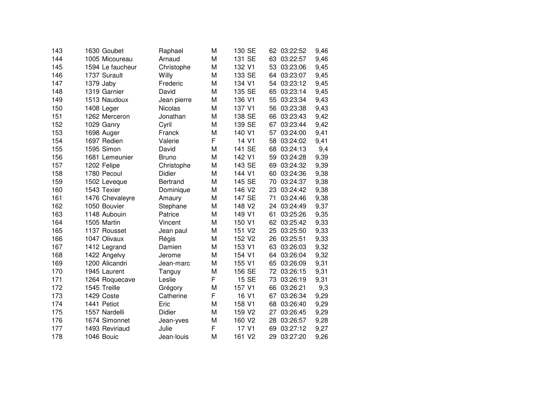| 143 | 1630 Goubet      | Raphael         | M | 130 SE             | 62 | 03:22:52 | 9,46 |
|-----|------------------|-----------------|---|--------------------|----|----------|------|
| 144 | 1005 Micoureau   | Arnaud          | M | 131 SE             | 63 | 03:22:57 | 9,46 |
| 145 | 1594 Le faucheur | Christophe      | M | 132 V1             | 53 | 03:23:06 | 9,45 |
| 146 | 1737 Surault     | Willy           | M | 133 SE             | 64 | 03:23:07 | 9,45 |
| 147 | 1379 Jaby        | Frederic        | M | 134 V1             | 54 | 03:23:12 | 9,45 |
| 148 | 1319 Garnier     | David           | M | 135 SE             | 65 | 03:23:14 | 9,45 |
| 149 | 1513 Naudoux     | Jean pierre     | M | 136 V1             | 55 | 03:23:34 | 9,43 |
| 150 | 1408 Leger       | <b>Nicolas</b>  | M | 137 V1             | 56 | 03:23:38 | 9,43 |
| 151 | 1262 Merceron    | Jonathan        | M | 138 SE             | 66 | 03:23:43 | 9,42 |
| 152 | 1029 Ganry       | Cyril           | M | 139 SE             | 67 | 03:23:44 | 9,42 |
| 153 | 1698 Auger       | Franck          | M | 140 V1             | 57 | 03:24:00 | 9,41 |
| 154 | 1697 Redien      | Valerie         | F | 14 V1              | 58 | 03:24:02 | 9,41 |
| 155 | 1595 Simon       | David           | M | 141 SE             | 68 | 03:24:13 | 9,4  |
| 156 | 1681 Lemeunier   | <b>Bruno</b>    | M | 142 V1             | 59 | 03:24:28 | 9,39 |
| 157 | 1202 Felipe      | Christophe      | M | 143 SE             | 69 | 03:24:32 | 9,39 |
| 158 | 1780 Pecoul      | Didier          | M | 144 V1             | 60 | 03:24:36 | 9,38 |
| 159 | 1502 Leveque     | <b>Bertrand</b> | M | 145 SE             | 70 | 03:24:37 | 9,38 |
| 160 | 1543 Texier      | Dominique       | M | 146 V2             | 23 | 03:24:42 | 9,38 |
| 161 | 1476 Chevaleyre  | Amaury          | M | 147 SE             | 71 | 03:24:46 | 9,38 |
| 162 | 1050 Bouvier     | Stephane        | M | 148 V <sub>2</sub> | 24 | 03:24:49 | 9,37 |
| 163 | 1148 Aubouin     | Patrice         | M | 149 V1             | 61 | 03:25:26 | 9,35 |
| 164 | 1505 Martin      | Vincent         | M | 150 V1             | 62 | 03:25:42 | 9,33 |
| 165 | 1137 Rousset     | Jean paul       | M | 151 V2             | 25 | 03:25:50 | 9,33 |
| 166 | 1047 Olivaux     | Régis           | M | 152 V <sub>2</sub> | 26 | 03:25:51 | 9,33 |
| 167 | 1412 Legrand     | Damien          | M | 153 V1             | 63 | 03:26:03 | 9,32 |
| 168 | 1422 Angelvy     | Jerome          | M | 154 V1             | 64 | 03:26:04 | 9,32 |
| 169 | 1200 Alicandri   | Jean-marc       | M | 155 V1             | 65 | 03:26:09 | 9,31 |
| 170 | 1945 Laurent     | Tanguy          | M | 156 SE             | 72 | 03:26:15 | 9,31 |
| 171 | 1264 Roquecave   | Leslie          | F | 15 SE              | 73 | 03:26:19 | 9,31 |
| 172 | 1545 Treille     | Grégory         | M | 157 V1             | 66 | 03:26:21 | 9,3  |
| 173 | 1429 Coste       | Catherine       | F | 16 V1              | 67 | 03:26:34 | 9,29 |
| 174 | 1441 Petiot      | Eric            | M | 158 V1             | 68 | 03:26:40 | 9,29 |
| 175 | 1557 Nardelli    | Didier          | M | 159 V <sub>2</sub> | 27 | 03:26:45 | 9,29 |
| 176 | 1674 Simonnet    | Jean-yves       | M | 160 V <sub>2</sub> | 28 | 03:26:57 | 9,28 |
| 177 | 1493 Reviriaud   | Julie           | F | 17 V1              | 69 | 03:27:12 | 9,27 |
| 178 | 1046 Bouic       | Jean-louis      | M | 161 V2             | 29 | 03:27:20 | 9,26 |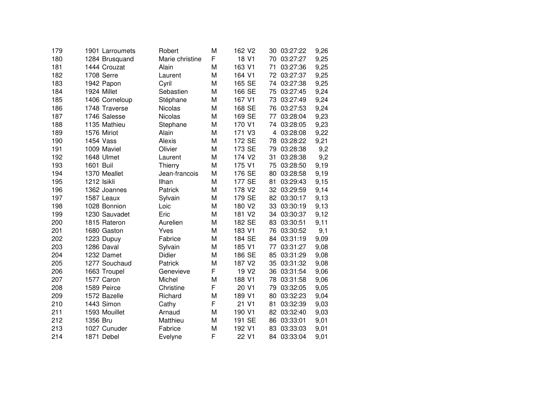| 179 |             | 1901 Larroumets | Robert          | M | 162 V <sub>2</sub> | 30 | 03:27:22    | 9,26 |
|-----|-------------|-----------------|-----------------|---|--------------------|----|-------------|------|
| 180 |             | 1284 Brusquand  | Marie christine | F | 18 V1              | 70 | 03:27:27    | 9,25 |
| 181 |             | 1444 Crouzat    | Alain           | M | 163 V1             | 71 | 03:27:36    | 9,25 |
| 182 |             | 1708 Serre      | Laurent         | M | 164 V1             | 72 | 03:27:37    | 9,25 |
| 183 |             | 1942 Papon      | Cyril           | M | 165 SE             | 74 | 03:27:38    | 9,25 |
| 184 |             | 1924 Millet     | Sebastien       | M | 166 SE             | 75 | 03:27:45    | 9,24 |
| 185 |             | 1406 Corneloup  | Stéphane        | M | 167 V1             | 73 | 03:27:49    | 9,24 |
| 186 |             | 1748 Traverse   | <b>Nicolas</b>  | M | 168 SE             | 76 | 03:27:53    | 9,24 |
| 187 |             | 1746 Salesse    | Nicolas         | M | 169 SE             | 77 | 03:28:04    | 9,23 |
| 188 |             | 1135 Mathieu    | Stephane        | M | 170 V1             |    | 74 03:28:05 | 9,23 |
| 189 |             | 1576 Miriot     | Alain           | M | 171 V3             | 4  | 03:28:08    | 9,22 |
| 190 |             | 1454 Vass       | Alexis          | M | 172 SE             | 78 | 03:28:22    | 9,21 |
| 191 |             | 1009 Maviel     | Olivier         | M | 173 SE             | 79 | 03:28:38    | 9,2  |
| 192 |             | 1648 Ulmet      | Laurent         | M | 174 V2             | 31 | 03:28:38    | 9,2  |
| 193 | 1601 Buil   |                 | Thierry         | M | 175 V1             | 75 | 03:28:50    | 9,19 |
| 194 |             | 1370 Meallet    | Jean-francois   | M | 176 SE             | 80 | 03:28:58    | 9,19 |
| 195 | 1212 Isikli |                 | Ilhan           | M | 177 SE             | 81 | 03:29:43    | 9,15 |
| 196 |             | 1362 Joannes    | Patrick         | M | 178 V2             | 32 | 03:29:59    | 9,14 |
| 197 |             | 1587 Leaux      | Sylvain         | M | 179 SE             | 82 | 03:30:17    | 9,13 |
| 198 |             | 1028 Bonnion    | Loic            | M | 180 V <sub>2</sub> | 33 | 03:30:19    | 9,13 |
| 199 |             | 1230 Sauvadet   | Eric            | M | 181 V2             | 34 | 03:30:37    | 9,12 |
| 200 |             | 1815 Rateron    | Aurelien        | M | 182 SE             | 83 | 03:30:51    | 9,11 |
| 201 |             | 1680 Gaston     | Yves            | M | 183 V1             | 76 | 03:30:52    | 9,1  |
| 202 |             | 1223 Dupuy      | Fabrice         | M | 184 SE             | 84 | 03:31:19    | 9,09 |
| 203 |             | 1286 Daval      | Sylvain         | M | 185 V1             | 77 | 03:31:27    | 9,08 |
| 204 |             | 1232 Damet      | Didier          | M | 186 SE             | 85 | 03:31:29    | 9,08 |
| 205 |             | 1277 Souchaud   | Patrick         | M | 187 V <sub>2</sub> | 35 | 03:31:32    | 9,08 |
| 206 |             | 1663 Troupel    | Genevieve       | F | 19 V <sub>2</sub>  | 36 | 03:31:54    | 9,06 |
| 207 |             | 1577 Caron      | Michel          | M | 188 V1             | 78 | 03:31:58    | 9,06 |
| 208 |             | 1589 Peirce     | Christine       | F | 20 V <sub>1</sub>  | 79 | 03:32:05    | 9,05 |
| 209 |             | 1572 Bazelle    | Richard         | M | 189 V1             | 80 | 03:32:23    | 9,04 |
| 210 |             | 1443 Simon      | Cathy           | F | 21 V1              | 81 | 03:32:39    | 9,03 |
| 211 |             | 1593 Mouillet   | Arnaud          | M | 190 V1             | 82 | 03:32:40    | 9,03 |
| 212 | 1356 Bru    |                 | Matthieu        | M | 191 SE             | 86 | 03:33:01    | 9,01 |
| 213 |             | 1027 Cunuder    | Fabrice         | M | 192 V1             | 83 | 03:33:03    | 9,01 |
| 214 |             | 1871 Debel      | Evelyne         | F | 22 V1              | 84 | 03:33:04    | 9,01 |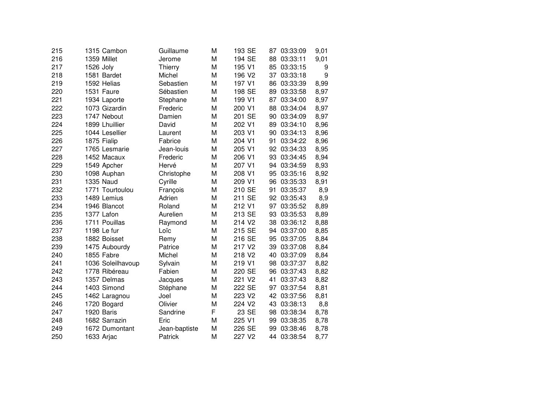| 215 |           | 1315 Cambon       | Guillaume     | M | 193 SE             | 87 | 03:33:09 | 9,01 |
|-----|-----------|-------------------|---------------|---|--------------------|----|----------|------|
| 216 |           | 1359 Millet       | Jerome        | M | 194 SE             | 88 | 03:33:11 | 9,01 |
| 217 | 1526 Joly |                   | Thierry       | M | 195 V1             | 85 | 03:33:15 | 9    |
| 218 |           | 1581 Bardet       | Michel        | M | 196 V <sub>2</sub> | 37 | 03:33:18 | 9    |
| 219 |           | 1592 Helias       | Sebastien     | M | 197 V1             | 86 | 03:33:39 | 8,99 |
| 220 |           | 1531 Faure        | Sébastien     | M | 198 SE             | 89 | 03:33:58 | 8,97 |
| 221 |           | 1934 Laporte      | Stephane      | M | 199 V1             | 87 | 03:34:00 | 8,97 |
| 222 |           | 1073 Gizardin     | Frederic      | M | 200 V1             | 88 | 03:34:04 | 8,97 |
| 223 |           | 1747 Nebout       | Damien        | M | 201 SE             | 90 | 03:34:09 | 8,97 |
| 224 |           | 1899 Lhuillier    | David         | M | 202 V1             | 89 | 03:34:10 | 8,96 |
| 225 |           | 1044 Lesellier    | Laurent       | M | 203 V1             | 90 | 03:34:13 | 8,96 |
| 226 |           | 1875 Fialip       | Fabrice       | M | 204 V1             | 91 | 03:34:22 | 8,96 |
| 227 |           | 1765 Lesmarie     | Jean-louis    | M | 205 V1             | 92 | 03:34:33 | 8,95 |
| 228 |           | 1452 Macaux       | Frederic      | M | 206 V1             | 93 | 03:34:45 | 8,94 |
| 229 |           | 1549 Apcher       | Hervé         | M | 207 V1             | 94 | 03:34:59 | 8,93 |
| 230 |           | 1098 Auphan       | Christophe    | M | 208 V1             | 95 | 03:35:16 | 8,92 |
| 231 |           | <b>1335 Naud</b>  | Cyrille       | M | 209 V1             | 96 | 03:35:33 | 8,91 |
| 232 |           | 1771 Tourtoulou   | François      | M | 210 SE             | 91 | 03:35:37 | 8,9  |
| 233 |           | 1489 Lemius       | Adrien        | M | 211 SE             | 92 | 03:35:43 | 8,9  |
| 234 |           | 1946 Blancot      | Roland        | M | 212 V1             | 97 | 03:35:52 | 8,89 |
| 235 |           | 1377 Lafon        | Aurelien      | M | 213 SE             | 93 | 03:35:53 | 8,89 |
| 236 |           | 1711 Pouillas     | Raymond       | M | 214 V <sub>2</sub> | 38 | 03:36:12 | 8,88 |
| 237 |           | 1198 Le fur       | Loïc          | M | 215 SE             | 94 | 03:37:00 | 8,85 |
| 238 |           | 1882 Boisset      | Remy          | M | 216 SE             | 95 | 03:37:05 | 8,84 |
| 239 |           | 1475 Aubourdy     | Patrice       | M | 217 V <sub>2</sub> | 39 | 03:37:08 | 8,84 |
| 240 |           | 1855 Fabre        | Michel        | M | 218 V2             | 40 | 03:37:09 | 8,84 |
| 241 |           | 1036 Soleilhavoup | Sylvain       | M | 219 V1             | 98 | 03:37:37 | 8,82 |
| 242 |           | 1778 Ribéreau     | Fabien        | M | 220 SE             | 96 | 03:37:43 | 8,82 |
| 243 |           | 1357 Delmas       | Jacques       | M | 221 V2             | 41 | 03:37:43 | 8,82 |
| 244 |           | 1403 Simond       | Stéphane      | M | 222 SE             | 97 | 03:37:54 | 8,81 |
| 245 |           | 1462 Laragnou     | Joel          | M | 223 V2             | 42 | 03:37:56 | 8,81 |
| 246 |           | 1720 Bogard       | Olivier       | M | 224 V2             | 43 | 03:38:13 | 8,8  |
| 247 |           | 1920 Baris        | Sandrine      | F | 23 SE              | 98 | 03:38:34 | 8,78 |
| 248 |           | 1682 Sarrazin     | Eric          | M | 225 V1             | 99 | 03:38:35 | 8,78 |
| 249 |           | 1672 Dumontant    | Jean-baptiste | M | 226 SE             | 99 | 03:38:46 | 8,78 |
| 250 |           | 1633 Arjac        | Patrick       | M | 227 V <sub>2</sub> | 44 | 03:38:54 | 8,77 |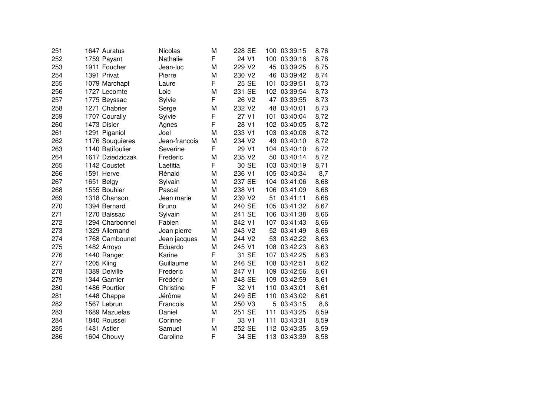| 251 | 1647 Auratus     | Nicolas       | M | 228 SE             | 100              | 03:39:15 | 8,76 |
|-----|------------------|---------------|---|--------------------|------------------|----------|------|
| 252 | 1759 Payant      | Nathalie      | F | 24 V1              | 100              | 03:39:16 | 8,76 |
| 253 | 1911 Foucher     | Jean-luc      | M | 229 V2             | 45               | 03:39:25 | 8,75 |
| 254 | 1391 Privat      | Pierre        | M | 230 V2             | 46               | 03:39:42 | 8,74 |
| 255 | 1079 Marchapt    | Laure         | F | 25 SE              | 101              | 03:39:51 | 8,73 |
| 256 | 1727 Lecomte     | Loic          | M | 231 SE             | 102              | 03:39:54 | 8,73 |
| 257 | 1775 Beyssac     | Sylvie        | F | 26 V <sub>2</sub>  | 47               | 03:39:55 | 8,73 |
| 258 | 1271 Chabrier    | Serge         | M | 232 V2             | 48               | 03:40:01 | 8,73 |
| 259 | 1707 Courally    | Sylvie        | F | 27 V1              | 101              | 03:40:04 | 8,72 |
| 260 | 1473 Disier      | Agnes         | F | 28 V1              | 102 <sub>1</sub> | 03:40:05 | 8,72 |
| 261 | 1291 Piganiol    | Joel          | M | 233 V1             | 103              | 03:40:08 | 8,72 |
| 262 | 1176 Souquieres  | Jean-francois | M | 234 V <sub>2</sub> | 49               | 03:40:10 | 8,72 |
| 263 | 1140 Batifoulier | Severine      | F | 29 V1              | 104              | 03:40:10 | 8,72 |
| 264 | 1617 Dziedziczak | Frederic      | M | 235 V2             | 50               | 03:40:14 | 8,72 |
| 265 | 1142 Coustet     | Laetitia      | F | 30 SE              | 103              | 03:40:19 | 8,71 |
| 266 | 1591 Herve       | Rénald        | M | 236 V1             | 105              | 03:40:34 | 8,7  |
| 267 | 1651 Belgy       | Sylvain       | M | 237 SE             | 104              | 03:41:06 | 8,68 |
| 268 | 1555 Bouhier     | Pascal        | M | 238 V1             | 106              | 03:41:09 | 8,68 |
| 269 | 1318 Chanson     | Jean marie    | M | 239 V2             | 51               | 03:41:11 | 8,68 |
| 270 | 1394 Bernard     | <b>Bruno</b>  | M | 240 SE             | 105              | 03:41:32 | 8,67 |
| 271 | 1270 Baissac     | Sylvain       | M | 241 SE             | 106              | 03:41:38 | 8,66 |
| 272 | 1294 Charbonnel  | Fabien        | M | 242 V1             | 107              | 03:41:43 | 8,66 |
| 273 | 1329 Allemand    | Jean pierre   | M | 243 V2             | 52 <sub>2</sub>  | 03:41:49 | 8,66 |
| 274 | 1768 Cambounet   | Jean jacques  | M | 244 V2             | 53               | 03:42:22 | 8,63 |
| 275 | 1482 Arroyo      | Eduardo       | M | 245 V1             | 108              | 03:42:23 | 8,63 |
| 276 | 1440 Ranger      | Karine        | F | 31 SE              | 107              | 03:42:25 | 8,63 |
| 277 | 1205 Kling       | Guillaume     | M | 246 SE             | 108              | 03:42:51 | 8,62 |
| 278 | 1389 Delville    | Frederic      | M | 247 V1             | 109              | 03:42:56 | 8,61 |
| 279 | 1344 Garnier     | Frédéric      | M | 248 SE             | 109              | 03:42:59 | 8,61 |
| 280 | 1486 Pourtier    | Christine     | F | 32 V1              | 110              | 03:43:01 | 8,61 |
| 281 | 1448 Chappe      | Jérôme        | M | 249 SE             | 110              | 03:43:02 | 8,61 |
| 282 | 1567 Lebrun      | Francois      | M | 250 V3             | 5                | 03:43:15 | 8,6  |
| 283 | 1689 Mazuelas    | Daniel        | M | 251 SE             | 111              | 03:43:25 | 8,59 |
| 284 | 1840 Roussel     | Corinne       | F | 33 V1              | 111              | 03:43:31 | 8,59 |
| 285 | 1481 Astier      | Samuel        | M | 252 SE             | 112              | 03:43:35 | 8,59 |
| 286 | 1604 Chouvy      | Caroline      | F | 34 SE              | 113              | 03:43:39 | 8,58 |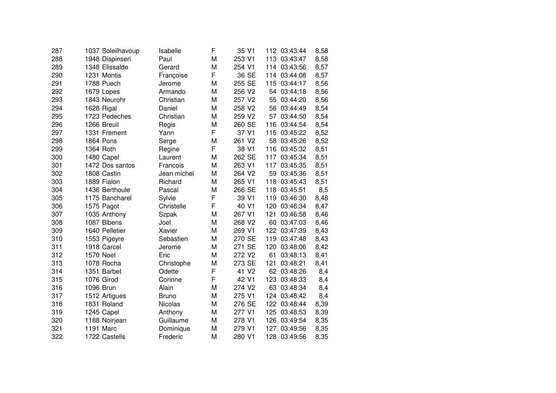| 287 |           | 1037 Soleilhavoup | Isabelle     | F | 35 V1              |     | 112 03:43:44 | 8,58 |
|-----|-----------|-------------------|--------------|---|--------------------|-----|--------------|------|
| 288 |           | 1948 Dispinseri   | Paul         | M | 253 V1             |     | 113 03:43:47 | 8,58 |
| 289 |           | 1348 Elissalde    | Gerard       | M | 254 V1             |     | 114 03:43:56 | 8,57 |
| 290 |           | 1231 Montis       | Françoise    | F | 36 SE              |     | 114 03:44:08 | 8,57 |
| 291 |           | 1788 Puech        | Jerome       | M | 255 SE             | 115 | 03:44:17     | 8,56 |
| 292 |           | 1679 Lopes        | Armando      | M | 256 V2             | 54  | 03:44:18     | 8,56 |
| 293 |           | 1843 Neurohr      | Christian    | M | 257 V2             | 55  | 03:44:20     | 8,56 |
| 294 |           | 1628 Rigal        | Daniel       | M | 258 V2             | 56  | 03:44:49     | 8,54 |
| 295 |           | 1723 Pedeches     | Christian    | M | 259 V2             | 57  | 03:44:50     | 8,54 |
| 296 |           | 1266 Breuil       | Regis        | M | 260 SE             | 116 | 03:44:54     | 8,54 |
| 297 |           | 1331 Frement      | Yann         | F | 37 V1              |     | 115 03:45:22 | 8,52 |
| 298 |           | <b>1864 Pons</b>  | Serge        | M | 261 V2             |     | 58 03:45:26  | 8,52 |
| 299 |           | 1364 Roth         | Regine       | F | 38 V1              | 116 | 03:45:32     | 8,51 |
| 300 |           | 1480 Capel        | Laurent      | M | 262 SE             | 117 | 03:45:34     | 8,51 |
| 301 |           | 1472 Dos santos   | Francois     | M | 263 V1             | 117 | 03:45:35     | 8,51 |
| 302 |           | 1808 Castin       | Jean michel  | M | 264 V2             | 59  | 03:45:36     | 8,51 |
| 303 |           | 1889 Fialon       | Richard      | M | 265 V1             | 118 | 03:45:43     | 8,51 |
| 304 |           | 1436 Berthoule    | Pascal       | M | 266 SE             | 118 | 03:45:51     | 8,5  |
| 305 |           | 1175 Bancharel    | Sylvie       | F | 39 V1              | 119 | 03:46:30     | 8,48 |
| 306 |           | 1575 Pagot        | Christelle   | F | 40 V1              | 120 | 03:46:34     | 8,47 |
| 307 |           | 1035 Anthony      | Szpak        | M | 267 V1             | 121 | 03:46:58     | 8,46 |
| 308 |           | 1087 Bibens       | Joel         | M | 268 V <sub>2</sub> | 60  | 03:47:03     | 8,46 |
| 309 |           | 1640 Pelletier    | Xavier       | M | 269 V1             |     | 122 03:47:39 | 8,43 |
| 310 |           | 1553 Pigeyre      | Sebastien    | M | 270 SE             |     | 119 03:47:48 | 8,43 |
| 311 |           | 1918 Carcel       | Jerome       | M | 271 SE             |     | 120 03:48:06 | 8,42 |
| 312 | 1570 Noel |                   | Eric         | M | 272 V2             | 61  | 03:48:13     | 8,41 |
| 313 |           | 1078 Rocha        | Christophe   | M | 273 SE             | 121 | 03:48:21     | 8,41 |
| 314 |           | 1351 Barbet       | Odette       | F | 41 V <sub>2</sub>  | 62  | 03:48:26     | 8,4  |
| 315 |           | 1076 Girod        | Corinne      | F | 42 V1              | 123 | 03:48:33     | 8,4  |
| 316 |           | 1096 Brun         | Alain        | M | 274 V <sub>2</sub> | 63  | 03:48:34     | 8,4  |
| 317 |           | 1512 Artigues     | <b>Bruno</b> | M | 275 V1             | 124 | 03:48:42     | 8,4  |
| 318 |           | 1831 Roland       | Nicolas      | M | 276 SE             |     | 122 03:48:44 | 8,39 |
| 319 |           | 1245 Capel        | Anthony      | M | 277 V1             |     | 125 03:48:53 | 8,39 |
| 320 |           | 1188 Noirjean     | Guillaume    | M | 278 V1             | 126 | 03:49:54     | 8,35 |
| 321 |           | 1191 Marc         | Dominique    | M | 279 V1             | 127 | 03:49:56     | 8,35 |
| 322 |           | 1722 Castells     | Frederic     | M | 280 V1             | 128 | 03:49:56     | 8,35 |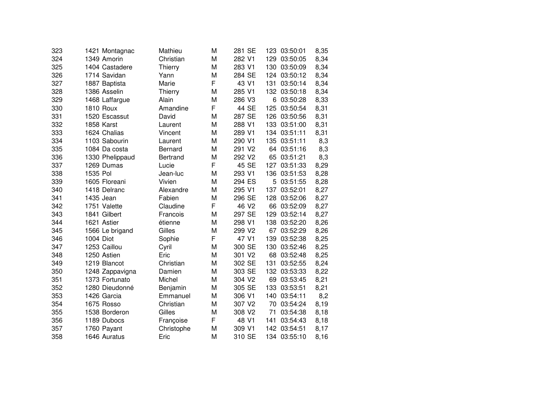| 323 | 1421 Montagnac   | Mathieu         | M | 281 SE            |     | 123 03:50:01 | 8,35 |
|-----|------------------|-----------------|---|-------------------|-----|--------------|------|
| 324 | 1349 Amorin      | Christian       | M | 282 V1            |     | 129 03:50:05 | 8,34 |
| 325 | 1404 Castadere   | Thierry         | M | 283 V1            |     | 130 03:50:09 | 8,34 |
| 326 | 1714 Savidan     | Yann            | M | 284 SE            |     | 124 03:50:12 | 8,34 |
| 327 | 1887 Baptista    | Marie           | F | 43 V1             | 131 | 03:50:14     | 8,34 |
| 328 | 1386 Asselin     | Thierry         | M | 285 V1            |     | 132 03:50:18 | 8,34 |
| 329 | 1468 Laffargue   | Alain           | M | 286 V3            | 6   | 03:50:28     | 8,33 |
| 330 | <b>1810 Roux</b> | Amandine        | F | 44 SE             | 125 | 03:50:54     | 8,31 |
| 331 | 1520 Escassut    | David           | M | 287 SE            |     | 126 03:50:56 | 8,31 |
| 332 | 1858 Karst       | Laurent         | M | 288 V1            |     | 133 03:51:00 | 8,31 |
| 333 | 1624 Chalias     | Vincent         | M | 289 V1            |     | 134 03:51:11 | 8,31 |
| 334 | 1103 Sabourin    | Laurent         | M | 290 V1            |     | 135 03:51:11 | 8,3  |
| 335 | 1084 Da costa    | <b>Bernard</b>  | M | 291 V2            |     | 64 03:51:16  | 8,3  |
| 336 | 1330 Phelippaud  | <b>Bertrand</b> | M | 292 V2            | 65  | 03:51:21     | 8,3  |
| 337 | 1269 Dumas       | Lucie           | F | 45 SE             | 127 | 03:51:33     | 8,29 |
| 338 | 1535 Pol         | Jean-luc        | M | 293 V1            | 136 | 03:51:53     | 8,28 |
| 339 | 1605 Floreani    | Vivien          | M | 294 ES            | 5   | 03:51:55     | 8,28 |
| 340 | 1418 Delranc     | Alexandre       | M | 295 V1            | 137 | 03:52:01     | 8,27 |
| 341 | 1435 Jean        | Fabien          | M | 296 SE            | 128 | 03:52:06     | 8,27 |
| 342 | 1751 Valette     | Claudine        | F | 46 V <sub>2</sub> | 66  | 03:52:09     | 8,27 |
| 343 | 1841 Gilbert     | Francois        | M | 297 SE            | 129 | 03:52:14     | 8,27 |
| 344 | 1621 Astier      | étienne         | M | 298 V1            |     | 138 03:52:20 | 8,26 |
| 345 | 1566 Le brigand  | Gilles          | M | 299 V2            |     | 67 03:52:29  | 8,26 |
| 346 | 1004 Diot        | Sophie          | F | 47 V1             | 139 | 03:52:38     | 8,25 |
| 347 | 1253 Caillou     | Cyril           | M | 300 SE            |     | 130 03:52:46 | 8,25 |
| 348 | 1250 Astien      | Eric            | M | 301 V2            |     | 68 03:52:48  | 8,25 |
| 349 | 1219 Blancot     | Christian       | M | 302 SE            | 131 | 03:52:55     | 8,24 |
| 350 | 1248 Zappavigna  | Damien          | M | 303 SE            |     | 132 03:53:33 | 8,22 |
| 351 | 1373 Fortunato   | Michel          | M | 304 V2            | 69  | 03:53:45     | 8,21 |
| 352 | 1280 Dieudonné   | Benjamin        | M | 305 SE            | 133 | 03:53:51     | 8,21 |
| 353 | 1426 Garcia      | Emmanuel        | M | 306 V1            | 140 | 03:54:11     | 8,2  |
| 354 | 1675 Rosso       | Christian       | M | 307 V2            | 70  | 03:54:24     | 8,19 |
| 355 | 1538 Borderon    | Gilles          | M | 308 V2            | 71  | 03:54:38     | 8,18 |
| 356 | 1189 Dubocs      | Françoise       | F | 48 V1             | 141 | 03:54:43     | 8,18 |
| 357 | 1760 Payant      | Christophe      | M | 309 V1            |     | 142 03:54:51 | 8,17 |
| 358 | 1646 Auratus     | Eric            | M | 310 SE            |     | 134 03:55:10 | 8,16 |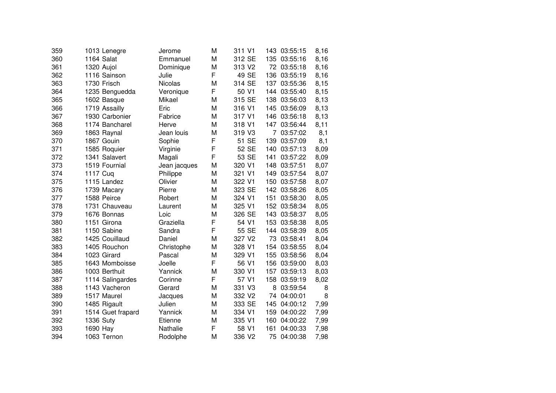| 359 | 1013 Lenegre      | Jerome       | M  | 311 V1             |     | 143 03:55:15 | 8,16 |
|-----|-------------------|--------------|----|--------------------|-----|--------------|------|
| 360 | 1164 Salat        | Emmanuel     | M  | 312 SE             |     | 135 03:55:16 | 8,16 |
| 361 | 1320 Aujol        | Dominique    | M  | 313 V2             |     | 72 03:55:18  | 8,16 |
| 362 | 1116 Sainson      | Julie        | F. | 49 SE              | 136 | 03:55:19     | 8,16 |
| 363 | 1730 Frisch       | Nicolas      | M  | 314 SE             | 137 | 03:55:36     | 8,15 |
| 364 | 1235 Benguedda    | Veronique    | F  | 50 V <sub>1</sub>  | 144 | 03:55:40     | 8,15 |
| 365 | 1602 Basque       | Mikael       | M  | 315 SE             | 138 | 03:56:03     | 8,13 |
| 366 | 1719 Assailly     | Eric         | M  | 316 V1             |     | 145 03:56:09 | 8,13 |
| 367 | 1930 Carbonier    | Fabrice      | M  | 317 V1             |     | 146 03:56:18 | 8,13 |
| 368 | 1174 Bancharel    | Herve        | M  | 318 V1             |     | 147 03:56:44 | 8,11 |
| 369 | 1863 Raynal       | Jean louis   | M  | 319 V3             | 7   | 03:57:02     | 8,1  |
| 370 | 1867 Gouin        | Sophie       | F  | 51 SE              | 139 | 03:57:09     | 8,1  |
| 371 | 1585 Roquier      | Virginie     | F  | 52 SE              | 140 | 03:57:13     | 8,09 |
| 372 | 1341 Salavert     | Magali       | F  | 53 SE              | 141 | 03:57:22     | 8,09 |
| 373 | 1519 Fournial     | Jean jacques | M  | 320 V1             | 148 | 03:57:51     | 8,07 |
| 374 | 1117 Cuq          | Philippe     | M  | 321 V1             | 149 | 03:57:54     | 8,07 |
| 375 | 1115 Landez       | Olivier      | M  | 322 V1             | 150 | 03:57:58     | 8,07 |
| 376 | 1739 Macary       | Pierre       | M  | 323 SE             | 142 | 03:58:26     | 8,05 |
| 377 | 1588 Peirce       | Robert       | M  | 324 V1             | 151 | 03:58:30     | 8,05 |
| 378 | 1731 Chauveau     | Laurent      | M  | 325 V1             |     | 152 03:58:34 | 8,05 |
| 379 | 1676 Bonnas       | Loic         | M  | 326 SE             |     | 143 03:58:37 | 8,05 |
| 380 | 1151 Girona       | Graziella    | F  | 54 V1              |     | 153 03:58:38 | 8,05 |
| 381 | 1150 Sabine       | Sandra       | F  | 55 SE              | 144 | 03:58:39     | 8,05 |
| 382 | 1425 Couillaud    | Daniel       | M  | 327 V2             | 73  | 03:58:41     | 8,04 |
| 383 | 1405 Rouchon      | Christophe   | M  | 328 V1             |     | 154 03:58:55 | 8,04 |
| 384 | 1023 Girard       | Pascal       | M  | 329 V1             | 155 | 03:58:56     | 8,04 |
| 385 | 1643 Momboisse    | Joelle       | F  | 56 V1              | 156 | 03:59:00     | 8,03 |
| 386 | 1003 Berthuit     | Yannick      | M  | 330 V1             | 157 | 03:59:13     | 8,03 |
| 387 | 1114 Salingardes  | Corinne      | F  | 57 V1              | 158 | 03:59:19     | 8,02 |
| 388 | 1143 Vacheron     | Gerard       | M  | 331 V3             | 8   | 03:59:54     | 8    |
| 389 | 1517 Maurel       | Jacques      | M  | 332 V <sub>2</sub> | 74  | 04:00:01     | 8    |
| 390 | 1485 Rigault      | Julien       | M  | 333 SE             | 145 | 04:00:12     | 7,99 |
| 391 | 1514 Guet frapard | Yannick      | M  | 334 V1             | 159 | 04:00:22     | 7,99 |
| 392 | <b>1336 Suty</b>  | Etienne      | M  | 335 V1             | 160 | 04:00:22     | 7,99 |
| 393 | 1690 Hay          | Nathalie     | F  | 58 V1              | 161 | 04:00:33     | 7,98 |
| 394 | 1063 Ternon       | Rodolphe     | M  | 336 V2             | 75  | 04:00:38     | 7,98 |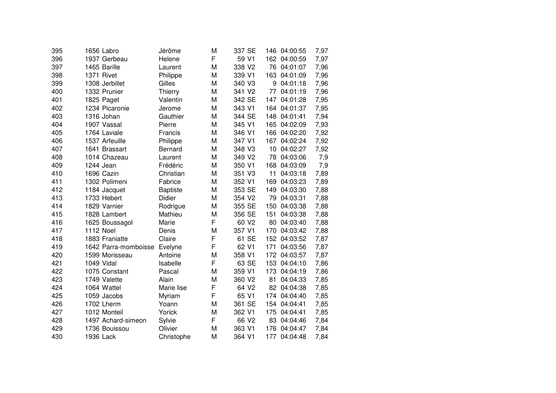| 395 |                  | 1656 Labro           | Jérôme          | M  | 337 SE            | 146             | 04:00:55     | 7,97 |
|-----|------------------|----------------------|-----------------|----|-------------------|-----------------|--------------|------|
| 396 |                  | 1937 Gerbeau         | Helene          | F. | 59 V1             |                 | 162 04:00:59 | 7,97 |
| 397 |                  | 1465 Barille         | Laurent         | M  | 338 V2            |                 | 76 04:01:07  | 7,96 |
| 398 |                  | 1371 Rivet           | Philippe        | M  | 339 V1            | 163             | 04:01:09     | 7,96 |
| 399 |                  | 1308 Jerbillet       | Gilles          | M  | 340 V3            | 9               | 04:01:18     | 7,96 |
| 400 |                  | 1332 Prunier         | Thierry         | M  | 341 V2            | 77              | 04:01:19     | 7,96 |
| 401 |                  | 1825 Paget           | Valentin        | M  | 342 SE            | 147             | 04:01:28     | 7,95 |
| 402 |                  | 1234 Picaronie       | Jerome          | M  | 343 V1            | 164             | 04:01:37     | 7,95 |
| 403 |                  | 1316 Johan           | Gauthier        | M  | 344 SE            |                 | 148 04:01:41 | 7,94 |
| 404 |                  | 1907 Vassal          | Pierre          | M  | 345 V1            | 165             | 04:02:09     | 7,93 |
| 405 |                  | 1764 Laviale         | Francis         | M  | 346 V1            | 166             | 04:02:20     | 7,92 |
| 406 |                  | 1537 Arfeuille       | Philippe        | M  | 347 V1            | 167             | 04:02:24     | 7,92 |
| 407 |                  | 1641 Brassart        | Bernard         | M  | 348 V3            | 10 <sub>1</sub> | 04:02:27     | 7,92 |
| 408 |                  | 1014 Chazeau         | Laurent         | M  | 349 V2            | 78              | 04:03:06     | 7,9  |
| 409 |                  | 1244 Jean            | Frédéric        | M  | 350 V1            | 168             | 04:03:09     | 7,9  |
| 410 |                  | 1696 Cazin           | Christian       | M  | 351 V3            | 11              | 04:03:18     | 7,89 |
| 411 |                  | 1302 Polimeni        | Fabrice         | M  | 352 V1            | 169             | 04:03:23     | 7,89 |
| 412 |                  | 1184 Jacquet         | <b>Baptiste</b> | M  | 353 SE            | 149             | 04:03:30     | 7,88 |
| 413 |                  | 1733 Hebert          | Didier          | M  | 354 V2            | 79              | 04:03:31     | 7,88 |
| 414 |                  | 1829 Varnier         | Rodrigue        | M  | 355 SE            | 150             | 04:03:38     | 7,88 |
| 415 |                  | 1828 Lambert         | Mathieu         | M  | 356 SE            | 151             | 04:03:38     | 7,88 |
| 416 |                  | 1625 Boussagol       | Marie           | F  | 60 V <sub>2</sub> | 80              | 04:03:40     | 7,88 |
| 417 | <b>1112 Noel</b> |                      | Denis           | M  | 357 V1            | 170             | 04:03:42     | 7,88 |
| 418 |                  | 1883 Franiatte       | Claire          | F  | 61 SE             |                 | 152 04:03:52 | 7,87 |
| 419 |                  | 1642 Parra-momboisse | Evelyne         | F  | 62 V1             | 171             | 04:03:56     | 7,87 |
| 420 |                  | 1599 Morisseau       | Antoine         | M  | 358 V1            |                 | 172 04:03:57 | 7,87 |
| 421 |                  | 1049 Vidal           | Isabelle        | F  | 63 SE             |                 | 153 04:04:10 | 7,86 |
| 422 |                  | 1075 Constant        | Pascal          | M  | 359 V1            | 173             | 04:04:19     | 7,86 |
| 423 |                  | 1749 Valette         | Alain           | M  | 360 V2            | 81              | 04:04:33     | 7,85 |
| 424 |                  | 1064 Wattel          | Marie lise      | F  | 64 V2             | 82              | 04:04:38     | 7,85 |
| 425 |                  | 1059 Jacobs          | Myriam          | F  | 65 V1             | 174             | 04:04:40     | 7,85 |
| 426 |                  | 1702 Lherm           | Yoann           | M  | 361 SE            | 154             | 04:04:41     | 7,85 |
| 427 |                  | 1012 Monteil         | Yorick          | M  | 362 V1            | 175             | 04:04:41     | 7,85 |
| 428 |                  | 1497 Achard-simeon   | Sylvie          | F  | 66 V <sub>2</sub> | 83              | 04:04:46     | 7,84 |
| 429 |                  | 1736 Bouissou        | Olivier         | M  | 363 V1            | 176             | 04:04:47     | 7,84 |
| 430 |                  | 1936 Lack            | Christophe      | M  | 364 V1            | 177             | 04:04:48     | 7,84 |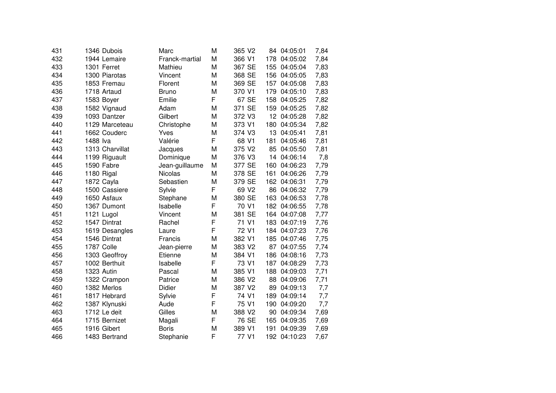| 431 | 1346 Dubois     | Marc           | M | 365 V2            | 84  | 04:05:01     | 7,84 |
|-----|-----------------|----------------|---|-------------------|-----|--------------|------|
| 432 | 1944 Lemaire    | Franck-martial | M | 366 V1            | 178 | 04:05:02     | 7,84 |
| 433 | 1301 Ferret     | Mathieu        | M | 367 SE            | 155 | 04:05:04     | 7,83 |
| 434 | 1300 Piarotas   | Vincent        | M | 368 SE            | 156 | 04:05:05     | 7,83 |
| 435 | 1853 Fremau     | Florent        | M | 369 SE            | 157 | 04:05:08     | 7,83 |
| 436 | 1718 Artaud     | <b>Bruno</b>   | M | 370 V1            | 179 | 04:05:10     | 7,83 |
| 437 | 1583 Boyer      | Emilie         | F | 67 SE             | 158 | 04:05:25     | 7,82 |
| 438 | 1582 Vignaud    | Adam           | M | 371 SE            | 159 | 04:05:25     | 7,82 |
| 439 | 1093 Dantzer    | Gilbert        | M | 372 V3            |     | 12 04:05:28  | 7,82 |
| 440 | 1129 Marceteau  | Christophe     | M | 373 V1            | 180 | 04:05:34     | 7,82 |
| 441 | 1662 Couderc    | Yves           | M | 374 V3            | 13  | 04:05:41     | 7,81 |
| 442 | 1488 lva        | Valérie        | F | 68 V1             | 181 | 04:05:46     | 7,81 |
| 443 | 1313 Charvillat | Jacques        | M | 375 V2            | 85  | 04:05:50     | 7,81 |
| 444 | 1199 Riguault   | Dominique      | M | 376 V3            | 14  | 04:06:14     | 7,8  |
| 445 | 1590 Fabre      | Jean-guillaume | M | 377 SE            | 160 | 04:06:23     | 7,79 |
| 446 | 1180 Rigal      | <b>Nicolas</b> | M | 378 SE            | 161 | 04:06:26     | 7,79 |
| 447 | 1872 Cayla      | Sebastien      | M | 379 SE            | 162 | 04:06:31     | 7,79 |
| 448 | 1500 Cassiere   | Sylvie         | F | 69 V <sub>2</sub> | 86  | 04:06:32     | 7,79 |
| 449 | 1650 Asfaux     | Stephane       | M | 380 SE            | 163 | 04:06:53     | 7,78 |
| 450 | 1367 Dumont     | Isabelle       | F | 70 V1             |     | 182 04:06:55 | 7,78 |
| 451 | 1121 Lugol      | Vincent        | M | 381 SE            |     | 164 04:07:08 | 7,77 |
| 452 | 1547 Dintrat    | Rachel         | F | 71 V1             | 183 | 04:07:19     | 7,76 |
| 453 | 1619 Desangles  | Laure          | F | 72 V1             |     | 184 04:07:23 | 7,76 |
| 454 | 1546 Dintrat    | Francis        | M | 382 V1            | 185 | 04:07:46     | 7,75 |
| 455 | 1787 Colle      | Jean-pierre    | M | 383 V2            |     | 87 04:07:55  | 7,74 |
| 456 | 1303 Geoffroy   | Etienne        | M | 384 V1            | 186 | 04:08:16     | 7,73 |
| 457 | 1002 Berthuit   | Isabelle       | F | 73 V1             |     | 187 04:08:29 | 7,73 |
| 458 | 1323 Autin      | Pascal         | M | 385 V1            | 188 | 04:09:03     | 7,71 |
| 459 | 1322 Crampon    | Patrice        | M | 386 V2            | 88  | 04:09:06     | 7,71 |
| 460 | 1382 Merlos     | Didier         | M | 387 V2            | 89  | 04:09:13     | 7,7  |
| 461 | 1817 Hebrard    | Sylvie         | F | 74 V1             | 189 | 04:09:14     | 7,7  |
| 462 | 1387 Klynuski   | Aude           | F | 75 V1             | 190 | 04:09:20     | 7,7  |
| 463 | 1712 Le deit    | Gilles         | M | 388 V2            | 90  | 04:09:34     | 7,69 |
| 464 | 1715 Bernizet   | Magali         | F | 76 SE             | 165 | 04:09:35     | 7,69 |
| 465 | 1916 Gibert     | <b>Boris</b>   | M | 389 V1            | 191 | 04:09:39     | 7,69 |
| 466 | 1483 Bertrand   | Stephanie      | F | 77 V1             |     | 192 04:10:23 | 7,67 |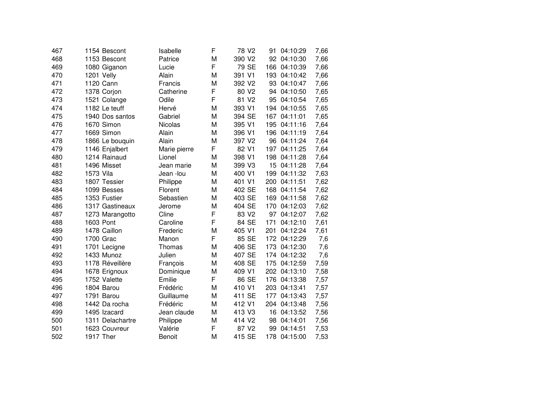| 467 | 1154 Bescont     | Isabelle     | F | 78 V2              | 91  | 04:10:29     | 7,66 |
|-----|------------------|--------------|---|--------------------|-----|--------------|------|
| 468 | 1153 Bescont     | Patrice      | M | 390 V2             |     | 92 04:10:30  | 7,66 |
| 469 | 1080 Giganon     | Lucie        | F | 79 SE              | 166 | 04:10:39     | 7,66 |
| 470 | 1201 Velly       | Alain        | M | 391 V1             | 193 | 04:10:42     | 7,66 |
| 471 | 1120 Cann        | Francis      | M | 392 V2             | 93  | 04:10:47     | 7,66 |
| 472 | 1378 Corjon      | Catherine    | F | 80 V2              | 94  | 04:10:50     | 7,65 |
| 473 | 1521 Colange     | Odile        | F | 81 V <sub>2</sub>  | 95  | 04:10:54     | 7,65 |
| 474 | 1182 Le teuff    | Hervé        | M | 393 V1             |     | 194 04:10:55 | 7,65 |
| 475 | 1940 Dos santos  | Gabriel      | M | 394 SE             |     | 167 04:11:01 | 7,65 |
| 476 | 1670 Simon       | Nicolas      | M | 395 V1             |     | 195 04:11:16 | 7,64 |
| 477 | 1669 Simon       | Alain        | M | 396 V1             |     | 196 04:11:19 | 7,64 |
| 478 | 1866 Le bouquin  | Alain        | M | 397 V2             |     | 96 04:11:24  | 7,64 |
| 479 | 1146 Enjalbert   | Marie pierre | F | 82 V1              |     | 197 04:11:25 | 7,64 |
| 480 | 1214 Rainaud     | Lionel       | M | 398 V1             | 198 | 04:11:28     | 7,64 |
| 481 | 1496 Misset      | Jean marie   | M | 399 V3             | 15  | 04:11:28     | 7,64 |
| 482 | 1573 Vila        | Jean -lou    | M | 400 V1             | 199 | 04:11:32     | 7,63 |
| 483 | 1807 Tessier     | Philippe     | M | 401 V1             | 200 | 04:11:51     | 7,62 |
| 484 | 1099 Besses      | Florent      | M | 402 SE             | 168 | 04:11:54     | 7,62 |
| 485 | 1353 Fustier     | Sebastien    | M | 403 SE             | 169 | 04:11:58     | 7,62 |
| 486 | 1317 Gastineaux  | Jerome       | M | 404 SE             | 170 | 04:12:03     | 7,62 |
| 487 | 1273 Marangotto  | Cline        | F | 83 V <sub>2</sub>  |     | 97 04:12:07  | 7,62 |
| 488 | 1603 Pont        | Caroline     | F | 84 SE              | 171 | 04:12:10     | 7,61 |
| 489 | 1478 Caillon     | Frederic     | M | 405 V1             | 201 | 04:12:24     | 7,61 |
| 490 | 1700 Grac        | Manon        | F | 85 SE              |     | 172 04:12:29 | 7,6  |
| 491 | 1701 Lecigne     | Thomas       | M | 406 SE             | 173 | 04:12:30     | 7,6  |
| 492 | 1433 Munoz       | Julien       | M | 407 SE             |     | 174 04:12:32 | 7,6  |
| 493 | 1178 Réveillère  | François     | M | 408 SE             | 175 | 04:12:59     | 7,59 |
| 494 | 1678 Erignoux    | Dominique    | M | 409 V1             | 202 | 04:13:10     | 7,58 |
| 495 | 1752 Valette     | Emilie       | F | 86 SE              | 176 | 04:13:38     | 7,57 |
| 496 | 1804 Barou       | Frédéric     | M | 410 V1             | 203 | 04:13:41     | 7,57 |
| 497 | 1791 Barou       | Guillaume    | M | 411 SE             | 177 | 04:13:43     | 7,57 |
| 498 | 1442 Da rocha    | Frédéric     | M | 412 V1             |     | 204 04:13:48 | 7,56 |
| 499 | 1495 Izacard     | Jean claude  | M | 413 V3             | 16  | 04:13:52     | 7,56 |
| 500 | 1311 Delachartre | Philippe     | M | 414 V <sub>2</sub> | 98  | 04:14:01     | 7,56 |
| 501 | 1623 Couvreur    | Valérie      | F | 87 V <sub>2</sub>  | 99  | 04:14:51     | 7,53 |
| 502 | 1917 Ther        | Benoit       | M | 415 SE             | 178 | 04:15:00     | 7,53 |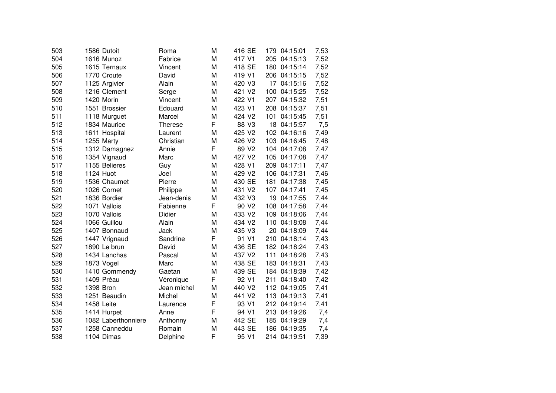| 503 | 1586 Dutoit         | Roma           | M | 416 SE             | 179 | 04:15:01     | 7,53 |
|-----|---------------------|----------------|---|--------------------|-----|--------------|------|
| 504 | 1616 Munoz          | Fabrice        | M | 417 V1             |     | 205 04:15:13 | 7,52 |
| 505 | 1615 Ternaux        | Vincent        | M | 418 SE             |     | 180 04:15:14 | 7,52 |
| 506 | 1770 Croute         | David          | M | 419 V1             |     | 206 04:15:15 | 7,52 |
| 507 | 1125 Argivier       | Alain          | M | 420 V3             | 17  | 04:15:16     | 7,52 |
| 508 | 1216 Clement        | Serge          | M | 421 V <sub>2</sub> | 100 | 04:15:25     | 7,52 |
| 509 | 1420 Morin          | Vincent        | M | 422 V1             |     | 207 04:15:32 | 7,51 |
| 510 | 1551 Brossier       | Edouard        | M | 423 V1             |     | 208 04:15:37 | 7,51 |
| 511 | 1118 Murguet        | Marcel         | M | 424 V <sub>2</sub> | 101 | 04:15:45     | 7,51 |
| 512 | 1834 Maurice        | <b>Therese</b> | F | 88 V3              | 18  | 04:15:57     | 7,5  |
| 513 | 1611 Hospital       | Laurent        | M | 425 V2             |     | 102 04:16:16 | 7,49 |
| 514 | 1255 Marty          | Christian      | M | 426 V2             |     | 103 04:16:45 | 7,48 |
| 515 | 1312 Damagnez       | Annie          | F | 89 V <sub>2</sub>  |     | 104 04:17:08 | 7,47 |
| 516 | 1354 Vignaud        | Marc           | M | 427 V2             |     | 105 04:17:08 | 7,47 |
| 517 | 1155 Belieres       | Guy            | M | 428 V1             |     | 209 04:17:11 | 7,47 |
| 518 | 1124 Huot           | Joel           | M | 429 V2             | 106 | 04:17:31     | 7,46 |
| 519 | 1536 Chaumet        | Pierre         | M | 430 SE             | 181 | 04:17:38     | 7,45 |
| 520 | 1026 Cornet         | Philippe       | M | 431 V2             | 107 | 04:17:41     | 7,45 |
| 521 | 1836 Bordier        | Jean-denis     | M | 432 V3             | 19  | 04:17:55     | 7,44 |
| 522 | 1071 Vallois        | Fabienne       | F | 90 V <sub>2</sub>  | 108 | 04:17:58     | 7,44 |
| 523 | 1070 Vallois        | Didier         | M | 433 V2             | 109 | 04:18:06     | 7,44 |
| 524 | 1066 Guillou        | Alain          | M | 434 V2             | 110 | 04:18:08     | 7,44 |
| 525 | 1407 Bonnaud        | Jack           | M | 435 V3             |     | 20 04:18:09  | 7,44 |
| 526 | 1447 Vrignaud       | Sandrine       | F | 91 V1              |     | 210 04:18:14 | 7,43 |
| 527 | 1890 Le brun        | David          | M | 436 SE             |     | 182 04:18:24 | 7,43 |
| 528 | 1434 Lanchas        | Pascal         | M | 437 V2             | 111 | 04:18:28     | 7,43 |
| 529 | 1873 Vogel          | Marc           | M | 438 SE             | 183 | 04:18:31     | 7,43 |
| 530 | 1410 Gommendy       | Gaetan         | M | 439 SE             |     | 184 04:18:39 | 7,42 |
| 531 | 1409 Préau          | Véronique      | F | 92 V1              | 211 | 04:18:40     | 7,42 |
| 532 | 1398 Bron           | Jean michel    | M | 440 V2             |     | 112 04:19:05 | 7,41 |
| 533 | 1251 Beaudin        | Michel         | M | 441 V <sub>2</sub> |     | 113 04:19:13 | 7,41 |
| 534 | 1458 Leite          | Laurence       | F | 93 V1              |     | 212 04:19:14 | 7,41 |
| 535 | 1414 Hurpet         | Anne           | F | 94 V1              |     | 213 04:19:26 | 7,4  |
| 536 | 1082 Laberthonniere | Anthonny       | M | 442 SE             |     | 185 04:19:29 | 7,4  |
| 537 | 1258 Canneddu       | Romain         | M | 443 SE             |     | 186 04:19:35 | 7,4  |
| 538 | 1104 Dimas          | Delphine       | F | 95 V1              |     | 214 04:19:51 | 7,39 |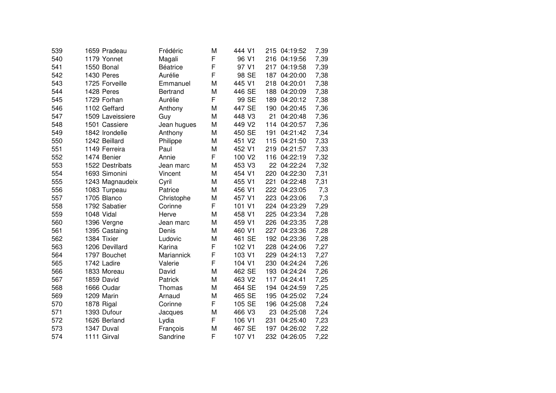| 539 | 1659 Pradeau     | Frédéric        | M | 444 V1 | 215 | 04:19:52     | 7,39 |
|-----|------------------|-----------------|---|--------|-----|--------------|------|
| 540 | 1179 Yonnet      | Magali          | F | 96 V1  |     | 216 04:19:56 | 7,39 |
| 541 | 1550 Bonal       | <b>Béatrice</b> | F | 97 V1  |     | 217 04:19:58 | 7,39 |
| 542 | 1430 Peres       | Aurélie         | F | 98 SE  | 187 | 04:20:00     | 7,38 |
| 543 | 1725 Forveille   | Emmanuel        | M | 445 V1 | 218 | 04:20:01     | 7,38 |
| 544 | 1428 Peres       | <b>Bertrand</b> | М | 446 SE | 188 | 04:20:09     | 7,38 |
| 545 | 1729 Forhan      | Aurélie         | F | 99 SE  | 189 | 04:20:12     | 7,38 |
| 546 | 1102 Geffard     | Anthony         | M | 447 SE | 190 | 04:20:45     | 7,36 |
| 547 | 1509 Laveissiere | Guy             | M | 448 V3 | 21  | 04:20:48     | 7,36 |
| 548 | 1501 Cassiere    | Jean hugues     | M | 449 V2 | 114 | 04:20:57     | 7,36 |
| 549 | 1842 Irondelle   | Anthony         | M | 450 SE | 191 | 04:21:42     | 7,34 |
| 550 | 1242 Beillard    | Philippe        | M | 451 V2 |     | 115 04:21:50 | 7,33 |
| 551 | 1149 Ferreira    | Paul            | M | 452 V1 |     | 219 04:21:57 | 7,33 |
| 552 | 1474 Benier      | Annie           | F | 100 V2 |     | 116 04:22:19 | 7,32 |
| 553 | 1522 Destribats  | Jean marc       | M | 453 V3 | 22  | 04:22:24     | 7,32 |
| 554 | 1693 Simonini    | Vincent         | M | 454 V1 | 220 | 04:22:30     | 7,31 |
| 555 | 1243 Magnaudeix  | Cyril           | M | 455 V1 | 221 | 04:22:48     | 7,31 |
| 556 | 1083 Turpeau     | Patrice         | M | 456 V1 | 222 | 04:23:05     | 7,3  |
| 557 | 1705 Blanco      | Christophe      | M | 457 V1 | 223 | 04:23:06     | 7,3  |
| 558 | 1792 Sabatier    | Corinne         | F | 101 V1 | 224 | 04:23:29     | 7,29 |
| 559 | 1048 Vidal       | Herve           | M | 458 V1 | 225 | 04:23:34     | 7,28 |
| 560 | 1396 Vergne      | Jean marc       | M | 459 V1 | 226 | 04:23:35     | 7,28 |
| 561 | 1395 Castaing    | Denis           | M | 460 V1 | 227 | 04:23:36     | 7,28 |
| 562 | 1384 Tixier      | Ludovic         | M | 461 SE |     | 192 04:23:36 | 7,28 |
| 563 | 1206 Devillard   | Karina          | F | 102 V1 |     | 228 04:24:06 | 7,27 |
| 564 | 1797 Bouchet     | Mariannick      | F | 103 V1 | 229 | 04:24:13     | 7,27 |
| 565 | 1742 Ladire      | Valerie         | F | 104 V1 | 230 | 04:24:24     | 7,26 |
| 566 | 1833 Moreau      | David           | M | 462 SE | 193 | 04:24:24     | 7,26 |
| 567 | 1859 David       | Patrick         | M | 463 V2 | 117 | 04:24:41     | 7,25 |
| 568 | 1666 Oudar       | Thomas          | M | 464 SE | 194 | 04:24:59     | 7,25 |
| 569 | 1209 Marin       | Arnaud          | M | 465 SE | 195 | 04:25:02     | 7,24 |
| 570 | 1878 Rigal       | Corinne         | F | 105 SE | 196 | 04:25:08     | 7,24 |
| 571 | 1393 Dufour      | Jacques         | M | 466 V3 | 23  | 04:25:08     | 7,24 |
| 572 | 1626 Berland     | Lydia           | F | 106 V1 | 231 | 04:25:40     | 7,23 |
| 573 | 1347 Duval       | François        | M | 467 SE | 197 | 04:26:02     | 7,22 |
| 574 | 1111 Girval      | Sandrine        | F | 107 V1 |     | 232 04:26:05 | 7,22 |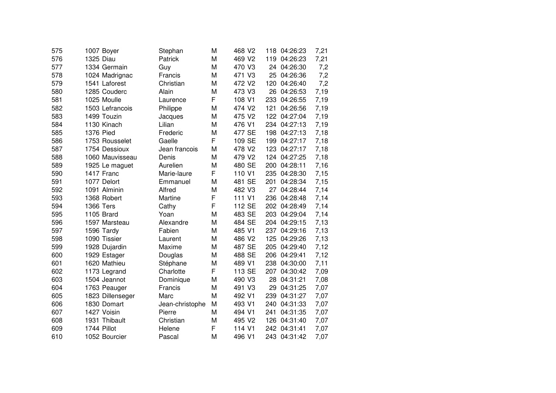| 575 |                  | 1007 Boyer       | Stephan         | M | 468 V2             |     | 118 04:26:23 | 7,21 |
|-----|------------------|------------------|-----------------|---|--------------------|-----|--------------|------|
| 576 | 1325 Diau        |                  | Patrick         | M | 469 V2             |     | 119 04:26:23 | 7,21 |
| 577 |                  | 1334 Germain     | Guy             | M | 470 V3             | 24  | 04:26:30     | 7,2  |
| 578 |                  | 1024 Madrignac   | Francis         | M | 471 V3             | 25  | 04:26:36     | 7,2  |
| 579 |                  | 1541 Laforest    | Christian       | M | 472 V2             | 120 | 04:26:40     | 7,2  |
| 580 |                  | 1285 Couderc     | Alain           | M | 473 V3             | 26  | 04:26:53     | 7,19 |
| 581 |                  | 1025 Moulle      | Laurence        | F | 108 V1             |     | 233 04:26:55 | 7,19 |
| 582 |                  | 1503 Lefrancois  | Philippe        | M | 474 V2             | 121 | 04:26:56     | 7,19 |
| 583 |                  | 1499 Touzin      | Jacques         | M | 475 V <sub>2</sub> |     | 122 04:27:04 | 7,19 |
| 584 |                  | 1130 Kinach      | Lilian          | M | 476 V1             |     | 234 04:27:13 | 7,19 |
| 585 | 1376 Pied        |                  | Frederic        | M | 477 SE             |     | 198 04:27:13 | 7,18 |
| 586 |                  | 1753 Rousselet   | Gaelle          | F | 109 SE             |     | 199 04:27:17 | 7,18 |
| 587 |                  | 1754 Dessioux    | Jean francois   | M | 478 V2             |     | 123 04:27:17 | 7,18 |
| 588 |                  | 1060 Mauvisseau  | Denis           | M | 479 V2             |     | 124 04:27:25 | 7,18 |
| 589 |                  | 1925 Le maguet   | Aurelien        | M | 480 SE             | 200 | 04:28:11     | 7,16 |
| 590 |                  | 1417 Franc       | Marie-laure     | F | 110 V1             | 235 | 04:28:30     | 7,15 |
| 591 |                  | 1077 Delort      | Emmanuel        | M | 481 SE             | 201 | 04:28:34     | 7,15 |
| 592 |                  | 1091 Alminin     | Alfred          | M | 482 V3             | 27  | 04:28:44     | 7,14 |
| 593 |                  | 1368 Robert      | Martine         | F | 111 V1             |     | 236 04:28:48 | 7,14 |
| 594 | <b>1366 Ters</b> |                  | Cathy           | F | 112 SE             |     | 202 04:28:49 | 7,14 |
| 595 |                  | 1105 Brard       | Yoan            | M | 483 SE             |     | 203 04:29:04 | 7,14 |
| 596 |                  | 1597 Marsteau    | Alexandre       | M | 484 SE             |     | 204 04:29:15 | 7,13 |
| 597 |                  | 1596 Tardy       | Fabien          | M | 485 V1             |     | 237 04:29:16 | 7,13 |
| 598 |                  | 1090 Tissier     | Laurent         | M | 486 V2             |     | 125 04:29:26 | 7,13 |
| 599 |                  | 1928 Dujardin    | Maxime          | M | 487 SE             |     | 205 04:29:40 | 7,12 |
| 600 |                  | 1929 Estager     | Douglas         | M | 488 SE             |     | 206 04:29:41 | 7,12 |
| 601 |                  | 1620 Mathieu     | Stéphane        | M | 489 V1             | 238 | 04:30:00     | 7,11 |
| 602 |                  | 1173 Legrand     | Charlotte       | F | 113 SE             | 207 | 04:30:42     | 7,09 |
| 603 |                  | 1504 Jeannot     | Dominique       | M | 490 V3             | 28  | 04:31:21     | 7,08 |
| 604 |                  | 1763 Peauger     | Francis         | M | 491 V3             | 29  | 04:31:25     | 7,07 |
| 605 |                  | 1823 Dillenseger | Marc            | M | 492 V1             | 239 | 04:31:27     | 7,07 |
| 606 |                  | 1830 Domart      | Jean-christophe | M | 493 V1             |     | 240 04:31:33 | 7,07 |
| 607 |                  | 1427 Voisin      | Pierre          | M | 494 V1             | 241 | 04:31:35     | 7,07 |
| 608 |                  | 1931 Thibault    | Christian       | M | 495 V <sub>2</sub> |     | 126 04:31:40 | 7,07 |
| 609 |                  | 1744 Pillot      | Helene          | F | 114 V1             |     | 242 04:31:41 | 7,07 |
| 610 |                  | 1052 Bourcier    | Pascal          | M | 496 V1             |     | 243 04:31:42 | 7,07 |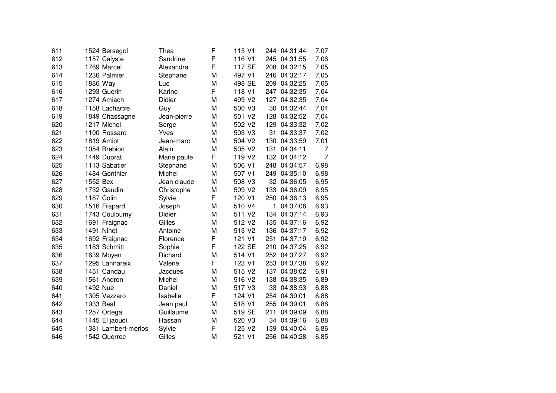| 611 |             | 1524 Bersegol       | Thea          | F | 115 V1             |     | 244 04:31:44 | 7,07           |
|-----|-------------|---------------------|---------------|---|--------------------|-----|--------------|----------------|
| 612 |             | 1157 Calyste        | Sandrine      | F | 116 V1             |     | 245 04:31:55 | 7,06           |
| 613 | 1769 Marcel |                     | Alexandra     | F | 117 SE             | 208 | 04:32:15     | 7,05           |
| 614 |             | 1236 Palmier        | Stephane      | M | 497 V1             | 246 | 04:32:17     | 7,05           |
| 615 | 1886 Way    |                     | Luc           | M | 498 SE             | 209 | 04:32:25     | 7,05           |
| 616 | 1293 Guerin |                     | Karine        | F | 118 V1             | 247 | 04:32:35     | 7,04           |
| 617 |             | 1274 Amiach         | <b>Didier</b> | M | 499 V2             | 127 | 04:32:35     | 7,04           |
| 618 |             | 1158 Lachartre      | Guy           | M | 500 V3             | 30  | 04:32:44     | 7,04           |
| 619 |             | 1849 Chassagne      | Jean-pierre   | M | 501 V2             | 128 | 04:32:52     | 7,04           |
| 620 | 1217 Michel |                     | Serge         | M | 502 V2             | 129 | 04:33:32     | 7,02           |
| 621 |             | 1100 Rossard        | Yves          | M | 503 V3             | 31  | 04:33:37     | 7,02           |
| 622 | 1819 Amiot  |                     | Jean-marc     | M | 504 V <sub>2</sub> | 130 | 04:33:59     | 7,01           |
| 623 |             | 1054 Brebion        | Alain         | M | 505 V2             | 131 | 04:34:11     | 7              |
| 624 | 1449 Duprat |                     | Marie paule   | F | 119 V <sub>2</sub> |     | 132 04:34:12 | $\overline{7}$ |
| 625 |             | 1113 Sabatier       | Stephane      | M | 506 V1             | 248 | 04:34:57     | 6,98           |
| 626 |             | 1484 Gonthier       | Michel        | M | 507 V1             | 249 | 04:35:10     | 6,98           |
| 627 | 1552 Bex    |                     | Jean claude   | M | 508 V3             | 32  | 04:36:05     | 6,95           |
| 628 |             | 1732 Gaudin         | Christophe    | M | 509 V2             | 133 | 04:36:09     | 6,95           |
| 629 | 1187 Colin  |                     | Sylvie        | F | 120 V1             | 250 | 04:36:13     | 6,95           |
| 630 |             | 1516 Frapard        | Joseph        | M | 510 V4             | 1   | 04:37:06     | 6,93           |
| 631 |             | 1743 Couloumy       | Didier        | M | 511 V <sub>2</sub> |     | 134 04:37:14 | 6,93           |
| 632 |             | 1691 Fraignac       | Gilles        | M | 512 V2             | 135 | 04:37:16     | 6,92           |
| 633 | 1491 Ninet  |                     | Antoine       | M | 513 V2             |     | 136 04:37:17 | 6,92           |
| 634 |             | 1692 Fraignac       | Florence      | F | 121 V1             | 251 | 04:37:19     | 6,92           |
| 635 |             | 1183 Schmitt        | Sophie        | F | 122 SE             | 210 | 04:37:25     | 6,92           |
| 636 | 1639 Moyen  |                     | Richard       | M | 514 V1             |     | 252 04:37:27 | 6,92           |
| 637 |             | 1295 Lannareix      | Valerie       | F | 123 V1             |     | 253 04:37:38 | 6,92           |
| 638 |             | 1451 Candau         | Jacques       | M | 515 V2             | 137 | 04:38:02     | 6,91           |
| 639 |             | 1561 Andron         | Michel        | M | 516 V2             | 138 | 04:38:35     | 6,89           |
| 640 | 1492 Nue    |                     | Daniel        | M | 517 V3             | 33  | 04:38:53     | 6,88           |
| 641 |             | 1305 Vezzaro        | Isabelle      | F | 124 V1             | 254 | 04:39:01     | 6,88           |
| 642 | 1933 Beal   |                     | Jean paul     | M | 518 V1             | 255 | 04:39:01     | 6,88           |
| 643 |             | 1257 Ortega         | Guillaume     | M | 519 SE             | 211 | 04:39:09     | 6,88           |
| 644 |             | 1445 El jaoudi      | Hassan        | M | 520 V3             |     | 34 04:39:16  | 6,88           |
| 645 |             | 1381 Lambert-merlos | Sylvie        | F | 125 V <sub>2</sub> | 139 | 04:40:04     | 6,86           |
| 646 |             | 1542 Querrec        | Gilles        | M | 521 V1             | 256 | 04:40:28     | 6,85           |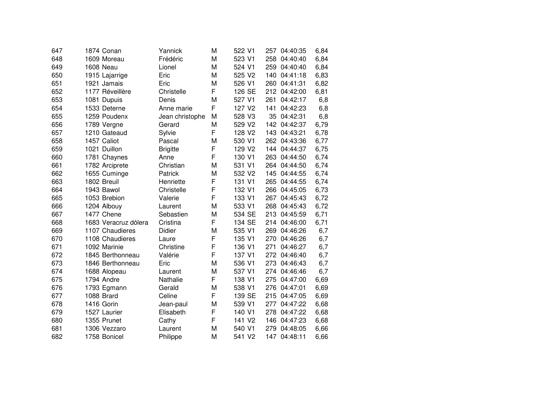| 647 | 1874 Conan           | Yannick         | M | 522 V1             | 257 | 04:40:35     | 6,84 |
|-----|----------------------|-----------------|---|--------------------|-----|--------------|------|
| 648 | 1609 Moreau          | Frédéric        | M | 523 V1             |     | 258 04:40:40 | 6,84 |
| 649 | 1608 Neau            | Lionel          | M | 524 V1             | 259 | 04:40:40     | 6,84 |
| 650 | 1915 Lajarrige       | Eric            | M | 525 V2             | 140 | 04:41:18     | 6,83 |
| 651 | 1921 Jamais          | Eric            | M | 526 V1             | 260 | 04:41:31     | 6,82 |
| 652 | 1177 Réveillère      | Christelle      | F | 126 SE             | 212 | 04:42:00     | 6,81 |
| 653 | 1081 Dupuis          | Denis           | M | 527 V1             | 261 | 04:42:17     | 6,8  |
| 654 | 1533 Deterne         | Anne marie      | F | 127 V <sub>2</sub> | 141 | 04:42:23     | 6,8  |
| 655 | 1259 Poudenx         | Jean christophe | M | 528 V3             | 35  | 04:42:31     | 6,8  |
| 656 | 1789 Vergne          | Gerard          | M | 529 V2             |     | 142 04:42:37 | 6,79 |
| 657 | 1210 Gateaud         | Sylvie          | F | 128 V2             | 143 | 04:43:21     | 6,78 |
| 658 | 1457 Caliot          | Pascal          | M | 530 V1             |     | 262 04:43:36 | 6,77 |
| 659 | 1021 Duillon         | <b>Brigitte</b> | F | 129 V <sub>2</sub> |     | 144 04:44:37 | 6,75 |
| 660 | 1781 Chaynes         | Anne            | F | 130 V1             |     | 263 04:44:50 | 6,74 |
| 661 | 1782 Arciprete       | Christian       | M | 531 V1             |     | 264 04:44:50 | 6,74 |
| 662 | 1655 Cuminge         | Patrick         | M | 532 V2             | 145 | 04:44:55     | 6,74 |
| 663 | 1802 Breuil          | Henriette       | F | 131 V1             | 265 | 04:44:55     | 6,74 |
| 664 | 1943 Bawol           | Christelle      | F | 132 V1             | 266 | 04:45:05     | 6,73 |
| 665 | 1053 Brebion         | Valerie         | F | 133 V1             | 267 | 04:45:43     | 6,72 |
| 666 | 1204 Albouy          | Laurent         | M | 533 V1             | 268 | 04:45:43     | 6,72 |
| 667 | 1477 Chene           | Sebastien       | M | 534 SE             | 213 | 04:45:59     | 6,71 |
| 668 | 1683 Veracruz dólera | Cristina        | F | 134 SE             |     | 214 04:46:00 | 6,71 |
| 669 | 1107 Chaudieres      | Didier          | M | 535 V1             |     | 269 04:46:26 | 6,7  |
| 670 | 1108 Chaudieres      | Laure           | F | 135 V1             |     | 270 04:46:26 | 6,7  |
| 671 | 1092 Marinie         | Christine       | F | 136 V1             | 271 | 04:46:27     | 6,7  |
| 672 | 1845 Berthonneau     | Valérie         | F | 137 V1             |     | 272 04:46:40 | 6,7  |
| 673 | 1846 Berthonneau     | Eric            | M | 536 V1             | 273 | 04:46:43     | 6,7  |
| 674 | 1688 Alopeau         | Laurent         | M | 537 V1             | 274 | 04:46:46     | 6,7  |
| 675 | 1794 Andre           | Nathalie        | F | 138 V1             | 275 | 04:47:00     | 6,69 |
| 676 | 1793 Egmann          | Gerald          | M | 538 V1             | 276 | 04:47:01     | 6,69 |
| 677 | 1088 Brard           | Celine          | F | 139 SE             | 215 | 04:47:05     | 6,69 |
| 678 | 1416 Gorin           | Jean-paul       | M | 539 V1             | 277 | 04:47:22     | 6,68 |
| 679 | 1527 Laurier         | Elisabeth       | F | 140 V1             | 278 | 04:47:22     | 6,68 |
| 680 | 1355 Prunet          | Cathy           | F | 141 V <sub>2</sub> |     | 146 04:47:23 | 6,68 |
| 681 | 1306 Vezzaro         | Laurent         | M | 540 V1             | 279 | 04:48:05     | 6,66 |
| 682 | 1758 Bonicel         | Philippe        | M | 541 V2             |     | 147 04:48:11 | 6,66 |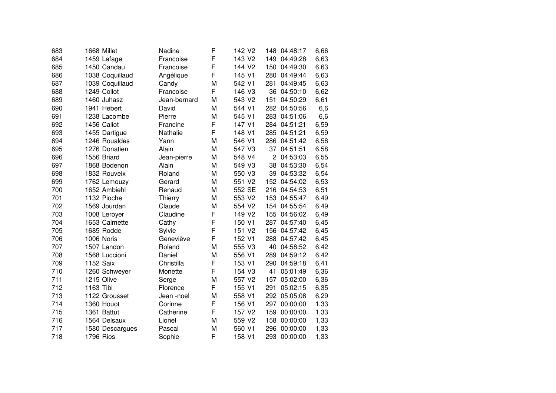| 683 | 1668 Millet      | Nadine       | F | 142 V <sub>2</sub> | 148            | 04:48:17     | 6,66 |
|-----|------------------|--------------|---|--------------------|----------------|--------------|------|
| 684 | 1459 Lafage      | Francoise    | F | 143 V <sub>2</sub> | 149            | 04:49:28     | 6,63 |
| 685 | 1450 Candau      | Francoise    | F | 144 V <sub>2</sub> | 150            | 04:49:30     | 6,63 |
| 686 | 1038 Coquillaud  | Angélique    | F | 145 V1             | 280            | 04:49:44     | 6,63 |
| 687 | 1039 Coquillaud  | Candy        | M | 542 V1             | 281            | 04:49:45     | 6,63 |
| 688 | 1249 Collot      | Francoise    | F | 146 V3             | 36             | 04:50:10     | 6,62 |
| 689 | 1460 Juhasz      | Jean-bernard | M | 543 V2             | 151            | 04:50:29     | 6,61 |
| 690 | 1941 Hebert      | David        | M | 544 V1             | 282            | 04:50:56     | 6,6  |
| 691 | 1238 Lacombe     | Pierre       | M | 545 V1             | 283            | 04:51:06     | 6,6  |
| 692 | 1456 Caliot      | Francine     | F | 147 V1             |                | 284 04:51:21 | 6,59 |
| 693 | 1455 Dartigue    | Nathalie     | F | 148 V1             |                | 285 04:51:21 | 6,59 |
| 694 | 1246 Roualdes    | Yann         | M | 546 V1             |                | 286 04:51:42 | 6,58 |
| 695 | 1276 Donatien    | Alain        | M | 547 V3             |                | 37 04:51:51  | 6,58 |
| 696 | 1556 Briard      | Jean-pierre  | M | 548 V4             | $\overline{c}$ | 04:53:03     | 6,55 |
| 697 | 1868 Bodenon     | Alain        | M | 549 V3             | 38             | 04:53:30     | 6,54 |
| 698 | 1832 Rouveix     | Roland       | M | 550 V3             | 39             | 04:53:32     | 6,54 |
| 699 | 1762 Lemouzy     | Gerard       | M | 551 V2             | 152            | 04:54:02     | 6,53 |
| 700 | 1652 Ambiehl     | Renaud       | M | 552 SE             | 216            | 04:54:53     | 6,51 |
| 701 | 1132 Pioche      | Thierry      | M | 553 V2             | 153            | 04:55:47     | 6,49 |
| 702 | 1569 Jourdan     | Claude       | M | 554 V <sub>2</sub> | 154            | 04:55:54     | 6,49 |
| 703 | 1008 Leroyer     | Claudine     | F | 149 V <sub>2</sub> | 155            | 04:56:02     | 6,49 |
| 704 | 1653 Calmette    | Cathy        | F | 150 V1             |                | 287 04:57:40 | 6,45 |
| 705 | 1685 Rodde       | Sylvie       | F | 151 V2             | 156            | 04:57:42     | 6,45 |
| 706 | 1006 Noris       | Geneviève    | F | 152 V1             | 288            | 04:57:42     | 6,45 |
| 707 | 1507 Landon      | Roland       | M | 555 V3             | 40             | 04:58:52     | 6,42 |
| 708 | 1568 Luccioni    | Daniel       | M | 556 V1             | 289            | 04:59:12     | 6,42 |
| 709 | 1152 Saix        | Christilla   | F | 153 V1             | 290            | 04:59:18     | 6,41 |
| 710 | 1260 Schweyer    | Monette      | F | 154 V3             | 41             | 05:01:49     | 6,36 |
| 711 | 1215 Olive       | Serge        | M | 557 V2             | 157            | 05:02:00     | 6,36 |
| 712 | 1163 Tibi        | Florence     | F | 155 V1             | 291            | 05:02:15     | 6,35 |
| 713 | 1122 Grousset    | Jean -noel   | M | 558 V1             | 292            | 05:05:08     | 6,29 |
| 714 | 1360 Houot       | Corinne      | F | 156 V1             | 297            | 00:00:00     | 1,33 |
| 715 | 1361 Battut      | Catherine    | F | 157 V <sub>2</sub> | 159            | 00:00:00     | 1,33 |
| 716 | 1564 Delsaux     | Lionel       | M | 559 V <sub>2</sub> | 158            | 00:00:00     | 1,33 |
| 717 | 1580 Descargues  | Pascal       | M | 560 V1             | 296            | 00:00:00     | 1,33 |
| 718 | <b>1796 Rios</b> | Sophie       | F | 158 V1             | 293            | 00:00:00     | 1,33 |